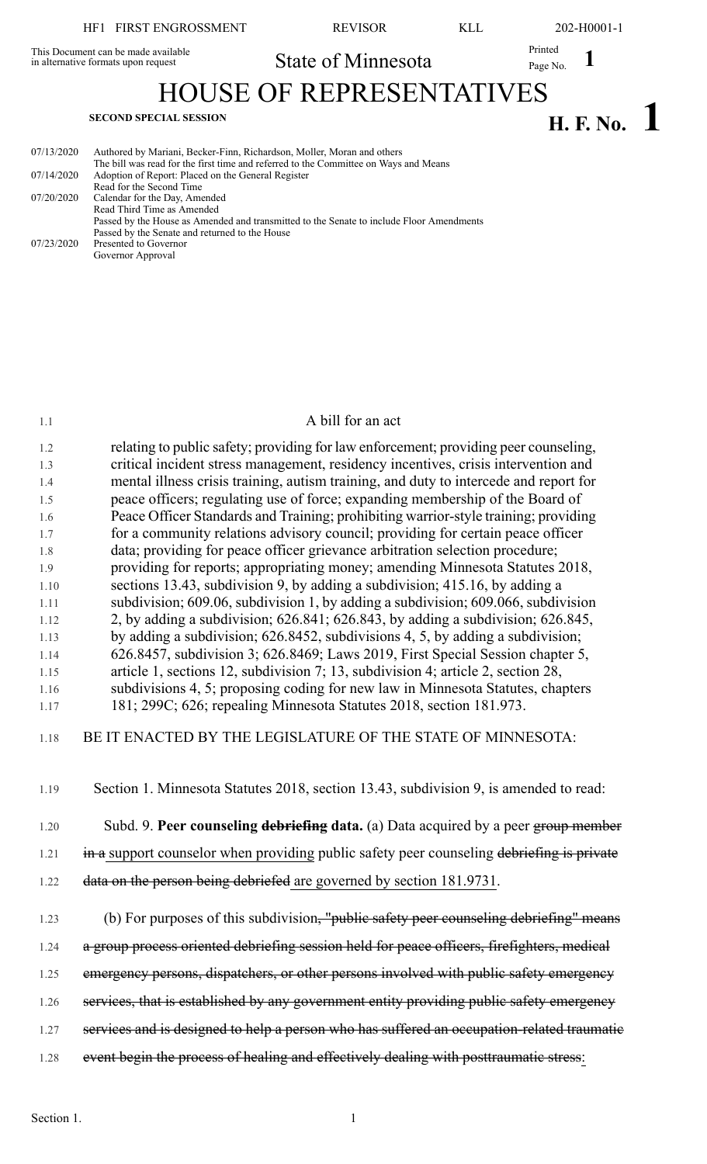This Document can be made available in alternative formats upon request

**1** Printed State of Minnesota Printed Page No. 1

HOUSE OF REPRESENTATIVES

# **H. F. No. 1 SECOND SPECIAL SESSION**

| 07/13/2020 | Authored by Mariani, Becker-Finn, Richardson, Moller, Moran and others                   |
|------------|------------------------------------------------------------------------------------------|
|            | The bill was read for the first time and referred to the Committee on Ways and Means     |
| 07/14/2020 | Adoption of Report: Placed on the General Register                                       |
|            | Read for the Second Time                                                                 |
| 07/20/2020 | Calendar for the Day, Amended                                                            |
|            | Read Third Time as Amended                                                               |
|            | Passed by the House as Amended and transmitted to the Senate to include Floor Amendments |
|            | Passed by the Senate and returned to the House                                           |
| 07/23/2020 | Presented to Governor                                                                    |
|            | Governor Approval                                                                        |
|            |                                                                                          |

## 1.1 A bill for an act

1.2 relating to public safety; providing for law enforcement; providing peer counseling, 1.3 critical incident stress management, residency incentives, crisis intervention and 1.4 mental illness crisis training, autism training, and duty to intercede and report for 1.5 peace officers; regulating use of force; expanding membership of the Board of 1.6 Peace Officer Standards and Training; prohibiting warrior-style training; providing 1.7 for a community relations advisory council; providing for certain peace officer 1.8 data; providing for peace officer grievance arbitration selection procedure; 1.9 providing for reports; appropriating money; amending Minnesota Statutes 2018, 1.10 sections 13.43, subdivision 9, by adding a subdivision; 415.16, by adding a 1.11 subdivision; 609.06, subdivision 1, by adding a subdivision; 609.066, subdivision 1.12 2, by adding a subdivision; 626.841; 626.843, by adding a subdivision; 626.845, 1.13 by adding a subdivision; 626.8452, subdivisions 4, 5, by adding a subdivision; 1.14 626.8457, subdivision 3; 626.8469; Laws 2019, First Special Session chapter 5, 1.15 article 1, sections 12, subdivision 7; 13, subdivision 4; article 2, section 28, 1.16 subdivisions 4, 5; proposing coding for new law in Minnesota Statutes, chapters 1.17 181; 299C; 626; repealing Minnesota Statutes 2018, section 181.973.

## 1.18 BE IT ENACTED BY THE LEGISLATURE OF THE STATE OF MINNESOTA:

1.19 Section 1. Minnesota Statutes 2018, section 13.43, subdivision 9, is amended to read:

1.20 Subd. 9. **Peer counseling debriefing data.** (a) Data acquired by a peer group member

 $1.21$  in a support counselor when providing public safety peer counseling debriefing is private

- 1.22 data on the person being debriefed are governed by section 181.9731.
- 1.23 (b) For purposes of this subdivision, "public safety peer counseling debriefing" means
- 1.24 a group process oriented debriefing session held for peace officers, firefighters, medical
- 1.25 emergency persons, dispatchers, or other persons involved with public safety emergency
- 1.26 services, that is established by any government entity providing public safety emergency
- 1.27 services and is designed to help a person who has suffered an occupation-related traumatie
- 1.28 event begin the process of healing and effectively dealing with posttraumatic stress: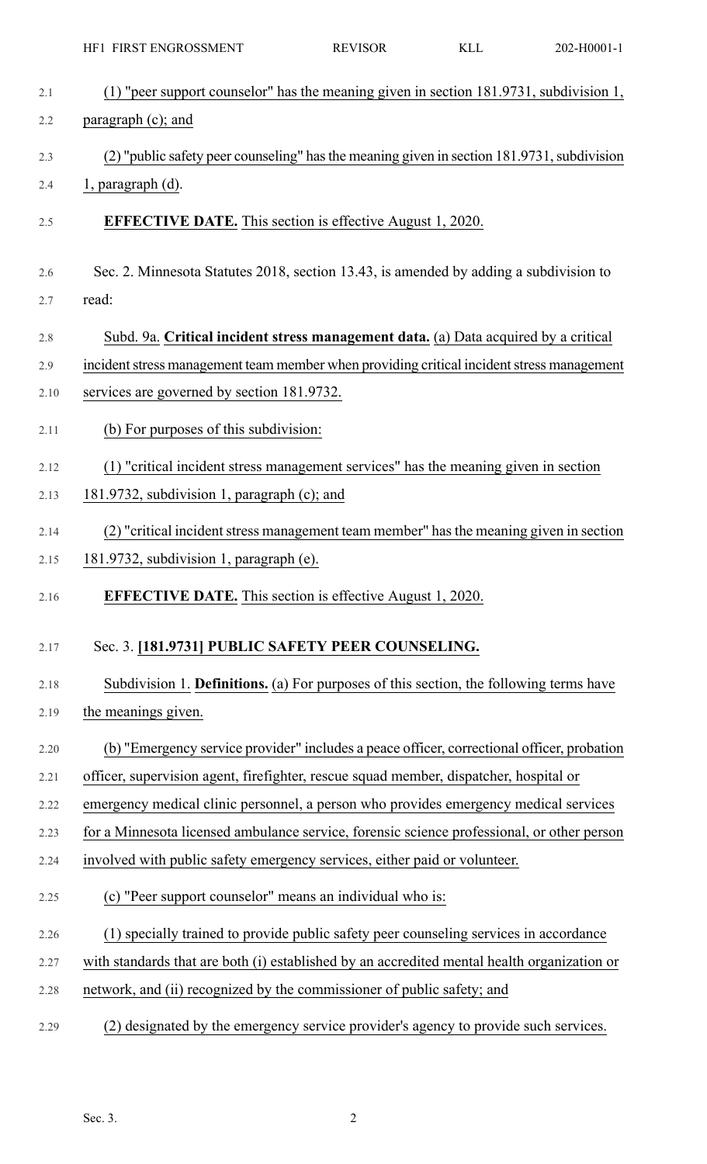|      | HF1 FIRST ENGROSSMENT                                                                       | <b>REVISOR</b> | <b>KLL</b> | 202-H0001-1 |
|------|---------------------------------------------------------------------------------------------|----------------|------------|-------------|
| 2.1  | (1) "peer support counselor" has the meaning given in section 181.9731, subdivision 1,      |                |            |             |
| 2.2  | paragraph (c); and                                                                          |                |            |             |
| 2.3  | (2) "public safety peer counseling" has the meaning given in section 181.9731, subdivision  |                |            |             |
| 2.4  | 1, paragraph (d).                                                                           |                |            |             |
| 2.5  | <b>EFFECTIVE DATE.</b> This section is effective August 1, 2020.                            |                |            |             |
| 2.6  | Sec. 2. Minnesota Statutes 2018, section 13.43, is amended by adding a subdivision to       |                |            |             |
| 2.7  | read:                                                                                       |                |            |             |
| 2.8  | Subd. 9a. Critical incident stress management data. (a) Data acquired by a critical         |                |            |             |
| 2.9  | incident stress management team member when providing critical incident stress management   |                |            |             |
| 2.10 | services are governed by section 181.9732.                                                  |                |            |             |
| 2.11 | (b) For purposes of this subdivision:                                                       |                |            |             |
| 2.12 | (1) "critical incident stress management services" has the meaning given in section         |                |            |             |
| 2.13 | 181.9732, subdivision 1, paragraph (c); and                                                 |                |            |             |
| 2.14 | (2) "critical incident stress management team member" has the meaning given in section      |                |            |             |
| 2.15 | 181.9732, subdivision 1, paragraph (e).                                                     |                |            |             |
| 2.16 | <b>EFFECTIVE DATE.</b> This section is effective August 1, 2020.                            |                |            |             |
| 2.17 | Sec. 3. [181.9731] PUBLIC SAFETY PEER COUNSELING.                                           |                |            |             |
| 2.18 | Subdivision 1. Definitions. (a) For purposes of this section, the following terms have      |                |            |             |
| 2.19 | the meanings given.                                                                         |                |            |             |
| 2.20 | (b) "Emergency service provider" includes a peace officer, correctional officer, probation  |                |            |             |
| 2.21 | officer, supervision agent, firefighter, rescue squad member, dispatcher, hospital or       |                |            |             |
| 2.22 | emergency medical clinic personnel, a person who provides emergency medical services        |                |            |             |
| 2.23 | for a Minnesota licensed ambulance service, forensic science professional, or other person  |                |            |             |
| 2.24 | involved with public safety emergency services, either paid or volunteer.                   |                |            |             |
| 2.25 | (c) "Peer support counselor" means an individual who is:                                    |                |            |             |
| 2.26 | (1) specially trained to provide public safety peer counseling services in accordance       |                |            |             |
| 2.27 | with standards that are both (i) established by an accredited mental health organization or |                |            |             |
| 2.28 | network, and (ii) recognized by the commissioner of public safety; and                      |                |            |             |
| 2.29 | (2) designated by the emergency service provider's agency to provide such services.         |                |            |             |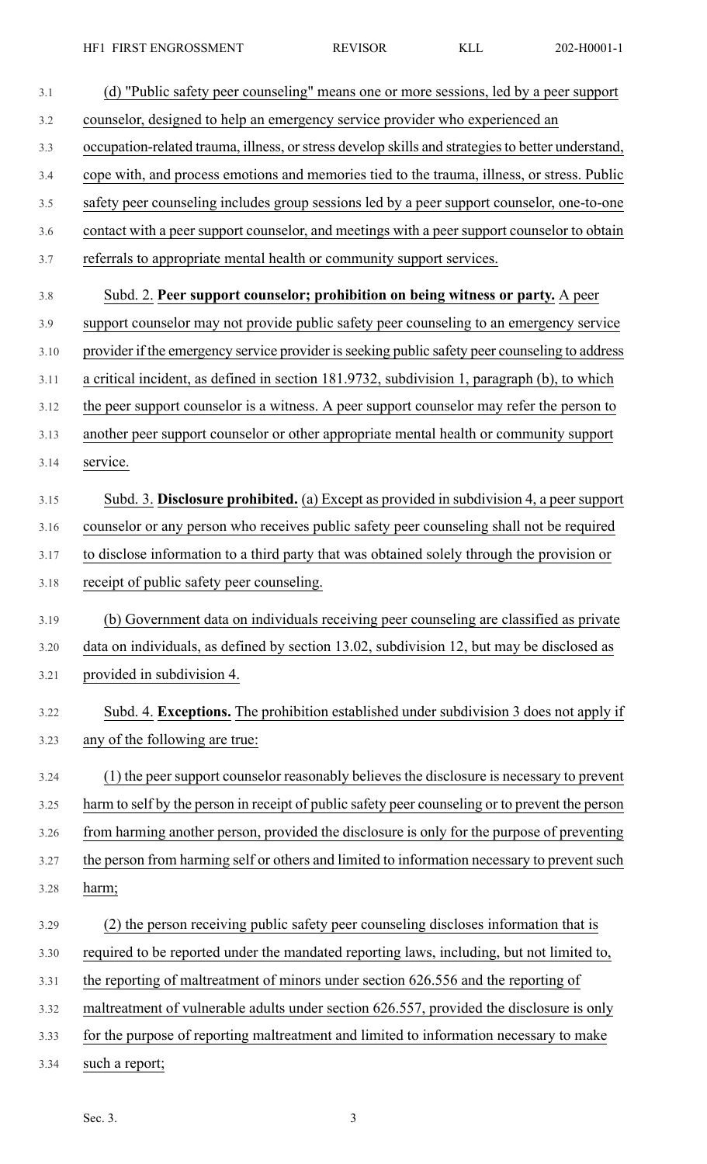| 3.1  | (d) "Public safety peer counseling" means one or more sessions, led by a peer support             |
|------|---------------------------------------------------------------------------------------------------|
| 3.2  | counselor, designed to help an emergency service provider who experienced an                      |
| 3.3  | occupation-related trauma, illness, or stress develop skills and strategies to better understand, |
| 3.4  | cope with, and process emotions and memories tied to the trauma, illness, or stress. Public       |
| 3.5  | safety peer counseling includes group sessions led by a peer support counselor, one-to-one        |
| 3.6  | contact with a peer support counselor, and meetings with a peer support counselor to obtain       |
| 3.7  | referrals to appropriate mental health or community support services.                             |
| 3.8  | Subd. 2. Peer support counselor; prohibition on being witness or party. A peer                    |
| 3.9  | support counselor may not provide public safety peer counseling to an emergency service           |
| 3.10 | provider if the emergency service provider is seeking public safety peer counseling to address    |
| 3.11 | a critical incident, as defined in section 181.9732, subdivision 1, paragraph (b), to which       |
| 3.12 | the peer support counselor is a witness. A peer support counselor may refer the person to         |
| 3.13 | another peer support counselor or other appropriate mental health or community support            |
| 3.14 | service.                                                                                          |
| 3.15 | Subd. 3. Disclosure prohibited. (a) Except as provided in subdivision 4, a peer support           |
| 3.16 | counselor or any person who receives public safety peer counseling shall not be required          |
| 3.17 | to disclose information to a third party that was obtained solely through the provision or        |
| 3.18 | receipt of public safety peer counseling.                                                         |
| 3.19 | (b) Government data on individuals receiving peer counseling are classified as private            |
| 3.20 | data on individuals, as defined by section 13.02, subdivision 12, but may be disclosed as         |
| 3.21 | provided in subdivision 4.                                                                        |
| 3.22 | Subd. 4. Exceptions. The prohibition established under subdivision 3 does not apply if            |
| 3.23 | any of the following are true:                                                                    |
| 3.24 | (1) the peer support counselor reasonably believes the disclosure is necessary to prevent         |
| 3.25 | harm to self by the person in receipt of public safety peer counseling or to prevent the person   |
| 3.26 | from harming another person, provided the disclosure is only for the purpose of preventing        |
| 3.27 | the person from harming self or others and limited to information necessary to prevent such       |
| 3.28 | harm;                                                                                             |
| 3.29 | (2) the person receiving public safety peer counseling discloses information that is              |
| 3.30 | required to be reported under the mandated reporting laws, including, but not limited to,         |
| 3.31 | the reporting of maltreatment of minors under section 626.556 and the reporting of                |
| 3.32 | maltreatment of vulnerable adults under section 626.557, provided the disclosure is only          |
| 3.33 | for the purpose of reporting maltreatment and limited to information necessary to make            |
| 3.34 | such a report;                                                                                    |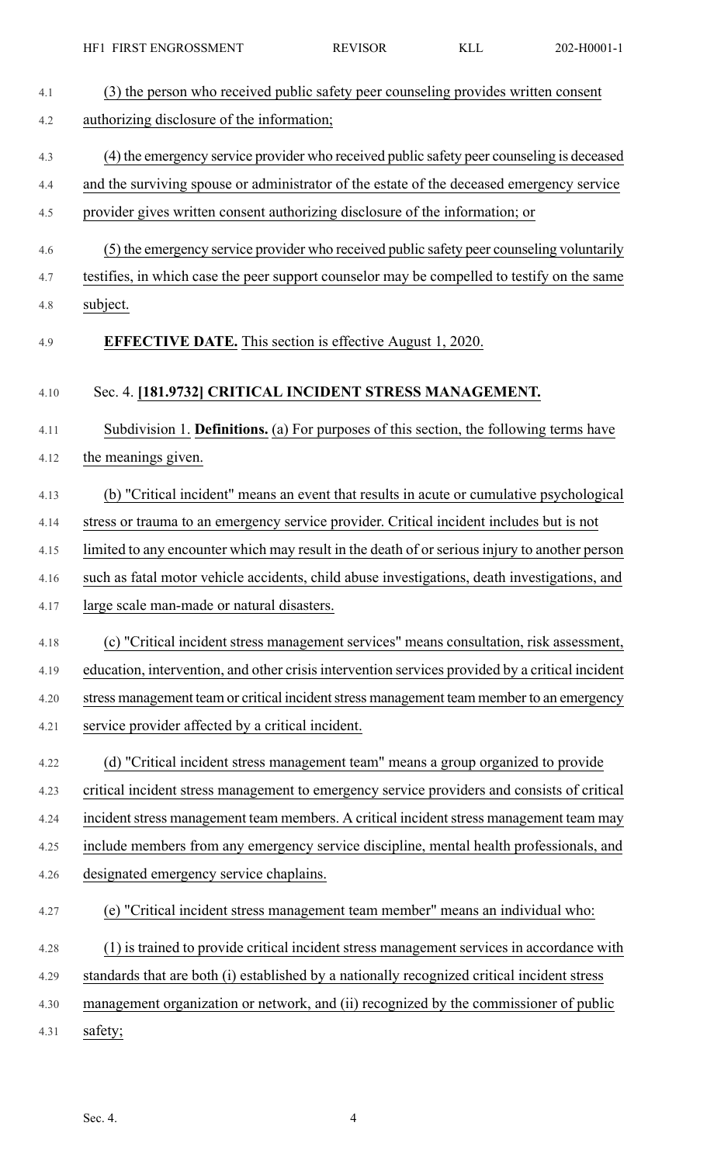| 4.1  | (3) the person who received public safety peer counseling provides written consent              |
|------|-------------------------------------------------------------------------------------------------|
| 4.2  | authorizing disclosure of the information;                                                      |
| 4.3  | (4) the emergency service provider who received public safety peer counseling is deceased       |
| 4.4  | and the surviving spouse or administrator of the estate of the deceased emergency service       |
| 4.5  | provider gives written consent authorizing disclosure of the information; or                    |
| 4.6  | (5) the emergency service provider who received public safety peer counseling voluntarily       |
| 4.7  | testifies, in which case the peer support counselor may be compelled to testify on the same     |
| 4.8  | subject.                                                                                        |
| 4.9  | <b>EFFECTIVE DATE.</b> This section is effective August 1, 2020.                                |
| 4.10 | Sec. 4. [181.9732] CRITICAL INCIDENT STRESS MANAGEMENT.                                         |
| 4.11 | Subdivision 1. Definitions. (a) For purposes of this section, the following terms have          |
| 4.12 | the meanings given.                                                                             |
| 4.13 | (b) "Critical incident" means an event that results in acute or cumulative psychological        |
| 4.14 | stress or trauma to an emergency service provider. Critical incident includes but is not        |
| 4.15 | limited to any encounter which may result in the death of or serious injury to another person   |
| 4.16 | such as fatal motor vehicle accidents, child abuse investigations, death investigations, and    |
| 4.17 | large scale man-made or natural disasters.                                                      |
| 4.18 | (c) "Critical incident stress management services" means consultation, risk assessment,         |
| 4.19 | education, intervention, and other crisis intervention services provided by a critical incident |
| 4.20 | stress management team or critical incident stress management team member to an emergency       |
| 4.21 | service provider affected by a critical incident.                                               |
| 4.22 | (d) "Critical incident stress management team" means a group organized to provide               |
| 4.23 | critical incident stress management to emergency service providers and consists of critical     |
| 4.24 | incident stress management team members. A critical incident stress management team may         |
| 4.25 | include members from any emergency service discipline, mental health professionals, and         |
| 4.26 | designated emergency service chaplains.                                                         |
| 4.27 | (e) "Critical incident stress management team member" means an individual who:                  |
| 4.28 | (1) is trained to provide critical incident stress management services in accordance with       |
| 4.29 | standards that are both (i) established by a nationally recognized critical incident stress     |
| 4.30 | management organization or network, and (ii) recognized by the commissioner of public           |
| 4.31 | safety;                                                                                         |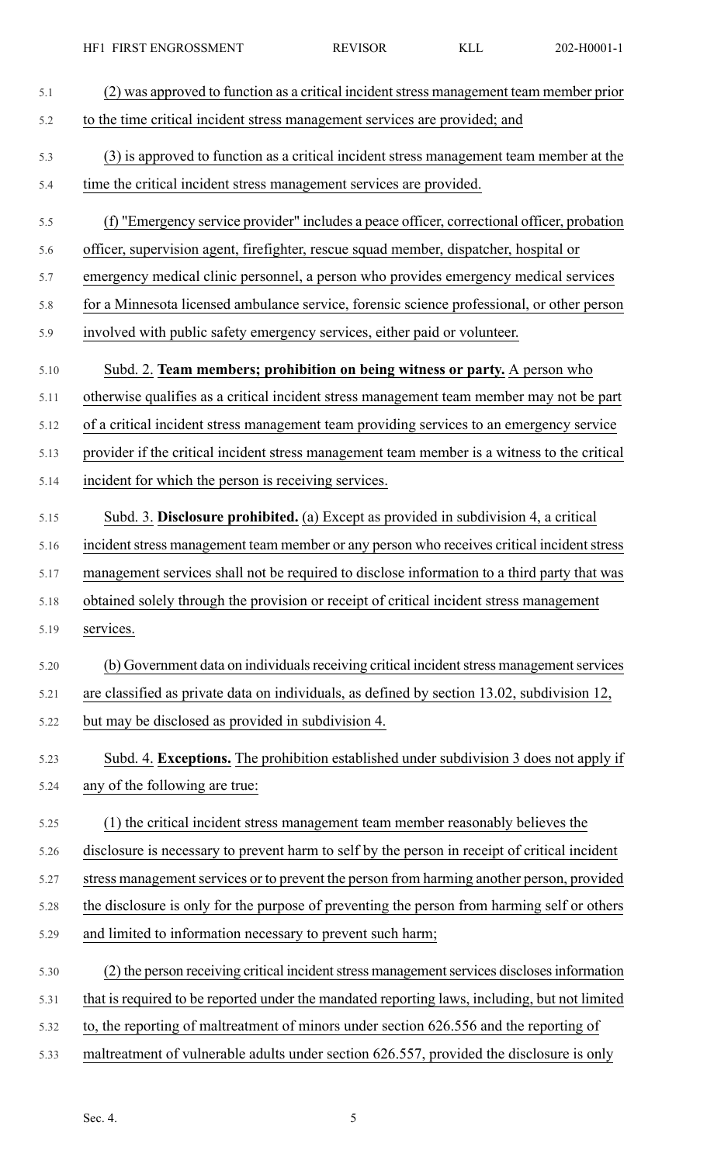| 5.1  | (2) was approved to function as a critical incident stress management team member prior       |
|------|-----------------------------------------------------------------------------------------------|
| 5.2  | to the time critical incident stress management services are provided; and                    |
| 5.3  | (3) is approved to function as a critical incident stress management team member at the       |
| 5.4  | time the critical incident stress management services are provided.                           |
| 5.5  | (f) "Emergency service provider" includes a peace officer, correctional officer, probation    |
| 5.6  | officer, supervision agent, firefighter, rescue squad member, dispatcher, hospital or         |
| 5.7  | emergency medical clinic personnel, a person who provides emergency medical services          |
| 5.8  | for a Minnesota licensed ambulance service, forensic science professional, or other person    |
| 5.9  | involved with public safety emergency services, either paid or volunteer.                     |
| 5.10 | Subd. 2. Team members; prohibition on being witness or party. A person who                    |
| 5.11 | otherwise qualifies as a critical incident stress management team member may not be part      |
| 5.12 | of a critical incident stress management team providing services to an emergency service      |
| 5.13 | provider if the critical incident stress management team member is a witness to the critical  |
| 5.14 | incident for which the person is receiving services.                                          |
| 5.15 | Subd. 3. Disclosure prohibited. (a) Except as provided in subdivision 4, a critical           |
| 5.16 | incident stress management team member or any person who receives critical incident stress    |
| 5.17 | management services shall not be required to disclose information to a third party that was   |
| 5.18 | obtained solely through the provision or receipt of critical incident stress management       |
| 5.19 | services.                                                                                     |
| 5.20 | (b) Government data on individuals receiving critical incident stress management services     |
| 5.21 | are classified as private data on individuals, as defined by section 13.02, subdivision 12,   |
| 5.22 | but may be disclosed as provided in subdivision 4.                                            |
| 5.23 | Subd. 4. Exceptions. The prohibition established under subdivision 3 does not apply if        |
| 5.24 | any of the following are true:                                                                |
| 5.25 | (1) the critical incident stress management team member reasonably believes the               |
| 5.26 | disclosure is necessary to prevent harm to self by the person in receipt of critical incident |
| 5.27 | stress management services or to prevent the person from harming another person, provided     |
| 5.28 | the disclosure is only for the purpose of preventing the person from harming self or others   |
| 5.29 | and limited to information necessary to prevent such harm;                                    |
| 5.30 | (2) the person receiving critical incident stress management services discloses information   |
| 5.31 | that is required to be reported under the mandated reporting laws, including, but not limited |
| 5.32 | to, the reporting of maltreatment of minors under section 626.556 and the reporting of        |
| 5.33 | maltreatment of vulnerable adults under section 626.557, provided the disclosure is only      |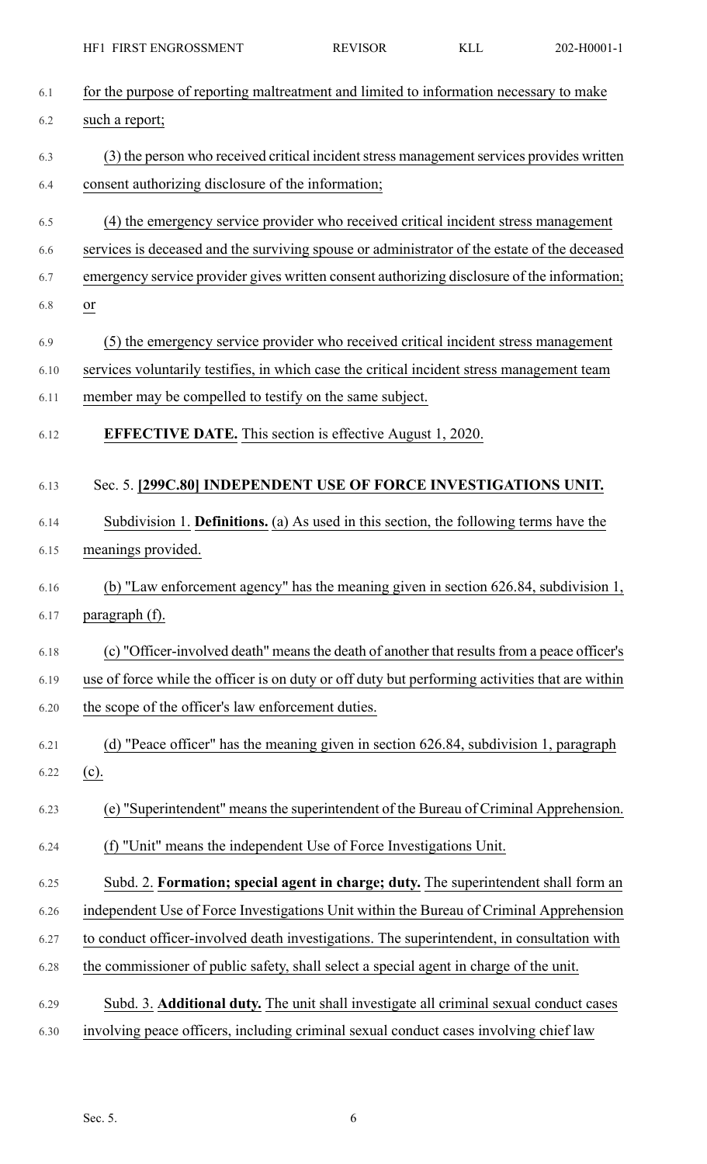|      | HF1 FIRST ENGROSSMENT                                                                           | <b>REVISOR</b> | <b>KLL</b> | 202-H0001-1 |
|------|-------------------------------------------------------------------------------------------------|----------------|------------|-------------|
| 6.1  | for the purpose of reporting maltreatment and limited to information necessary to make          |                |            |             |
| 6.2  | such a report;                                                                                  |                |            |             |
| 6.3  | (3) the person who received critical incident stress management services provides written       |                |            |             |
| 6.4  | consent authorizing disclosure of the information;                                              |                |            |             |
| 6.5  | (4) the emergency service provider who received critical incident stress management             |                |            |             |
| 6.6  | services is deceased and the surviving spouse or administrator of the estate of the deceased    |                |            |             |
| 6.7  | emergency service provider gives written consent authorizing disclosure of the information;     |                |            |             |
| 6.8  | $\frac{or}{ }$                                                                                  |                |            |             |
| 6.9  | (5) the emergency service provider who received critical incident stress management             |                |            |             |
| 6.10 | services voluntarily testifies, in which case the critical incident stress management team      |                |            |             |
| 6.11 | member may be compelled to testify on the same subject.                                         |                |            |             |
| 6.12 | <b>EFFECTIVE DATE.</b> This section is effective August 1, 2020.                                |                |            |             |
|      |                                                                                                 |                |            |             |
| 6.13 | Sec. 5. [299C.80] INDEPENDENT USE OF FORCE INVESTIGATIONS UNIT.                                 |                |            |             |
| 6.14 | Subdivision 1. Definitions. (a) As used in this section, the following terms have the           |                |            |             |
| 6.15 | meanings provided.                                                                              |                |            |             |
| 6.16 | (b) "Law enforcement agency" has the meaning given in section 626.84, subdivision 1,            |                |            |             |
| 6.17 | paragraph (f).                                                                                  |                |            |             |
| 6.18 | (c) "Officer-involved death" means the death of another that results from a peace officer's     |                |            |             |
| 6.19 | use of force while the officer is on duty or off duty but performing activities that are within |                |            |             |
| 6.20 | the scope of the officer's law enforcement duties.                                              |                |            |             |
| 6.21 | (d) "Peace officer" has the meaning given in section 626.84, subdivision 1, paragraph           |                |            |             |
| 6.22 | $(c)$ .                                                                                         |                |            |             |
| 6.23 | (e) "Superintendent" means the superintendent of the Bureau of Criminal Apprehension.           |                |            |             |
| 6.24 | (f) "Unit" means the independent Use of Force Investigations Unit.                              |                |            |             |
| 6.25 | Subd. 2. Formation; special agent in charge; duty. The superintendent shall form an             |                |            |             |
| 6.26 | independent Use of Force Investigations Unit within the Bureau of Criminal Apprehension         |                |            |             |
| 6.27 | to conduct officer-involved death investigations. The superintendent, in consultation with      |                |            |             |
| 6.28 | the commissioner of public safety, shall select a special agent in charge of the unit.          |                |            |             |
| 6.29 | Subd. 3. Additional duty. The unit shall investigate all criminal sexual conduct cases          |                |            |             |
| 6.30 | involving peace officers, including criminal sexual conduct cases involving chief law           |                |            |             |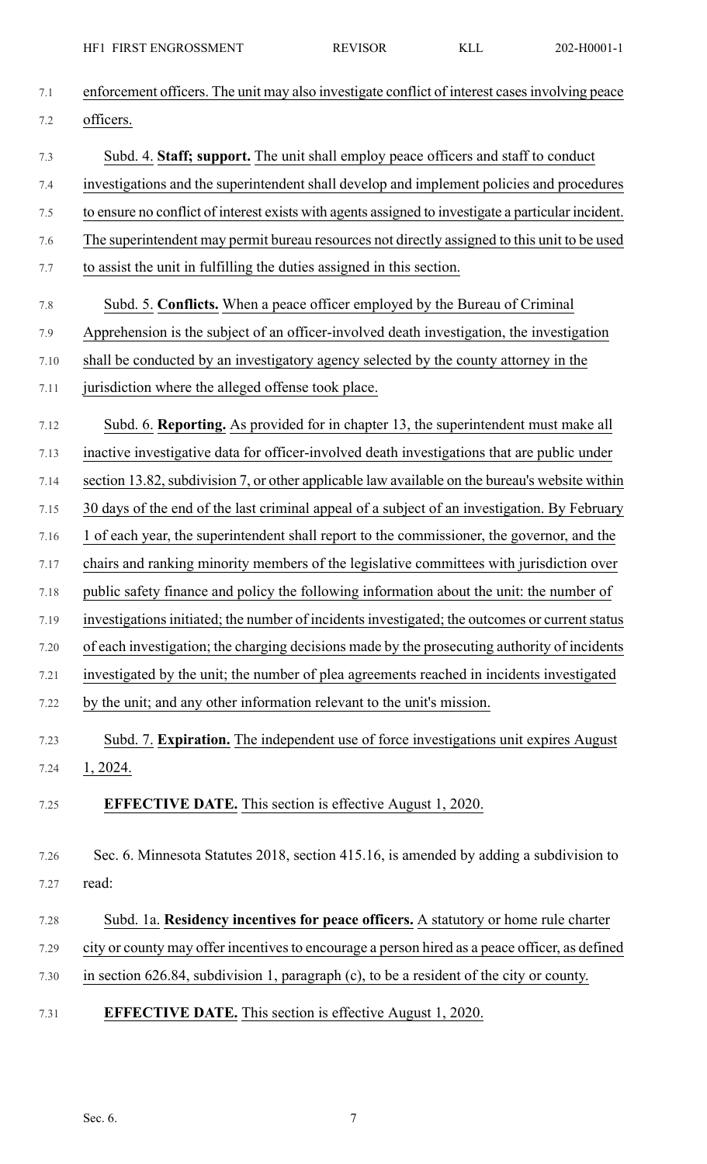| 7.1  | enforcement officers. The unit may also investigate conflict of interest cases involving peace      |
|------|-----------------------------------------------------------------------------------------------------|
| 7.2  | officers.                                                                                           |
| 7.3  | Subd. 4. Staff; support. The unit shall employ peace officers and staff to conduct                  |
| 7.4  | investigations and the superintendent shall develop and implement policies and procedures           |
| 7.5  | to ensure no conflict of interest exists with agents assigned to investigate a particular incident. |
| 7.6  | The superintendent may permit bureau resources not directly assigned to this unit to be used        |
| 7.7  | to assist the unit in fulfilling the duties assigned in this section.                               |
| 7.8  | Subd. 5. Conflicts. When a peace officer employed by the Bureau of Criminal                         |
| 7.9  | Apprehension is the subject of an officer-involved death investigation, the investigation           |
| 7.10 | shall be conducted by an investigatory agency selected by the county attorney in the                |
| 7.11 | jurisdiction where the alleged offense took place.                                                  |
| 7.12 | Subd. 6. Reporting. As provided for in chapter 13, the superintendent must make all                 |
| 7.13 | inactive investigative data for officer-involved death investigations that are public under         |
| 7.14 | section 13.82, subdivision 7, or other applicable law available on the bureau's website within      |
| 7.15 | 30 days of the end of the last criminal appeal of a subject of an investigation. By February        |
| 7.16 | 1 of each year, the superintendent shall report to the commissioner, the governor, and the          |
| 7.17 | chairs and ranking minority members of the legislative committees with jurisdiction over            |
| 7.18 | public safety finance and policy the following information about the unit: the number of            |
| 7.19 | investigations initiated; the number of incidents investigated; the outcomes or current status      |
| 7.20 | of each investigation; the charging decisions made by the prosecuting authority of incidents        |
| 7.21 | investigated by the unit; the number of plea agreements reached in incidents investigated           |
| 7.22 | by the unit; and any other information relevant to the unit's mission.                              |
| 7.23 | Subd. 7. Expiration. The independent use of force investigations unit expires August                |
| 7.24 | 1, 2024.                                                                                            |
| 7.25 | <b>EFFECTIVE DATE.</b> This section is effective August 1, 2020.                                    |
| 7.26 | Sec. 6. Minnesota Statutes 2018, section 415.16, is amended by adding a subdivision to              |
| 7.27 | read:                                                                                               |
| 7.28 | Subd. 1a. Residency incentives for peace officers. A statutory or home rule charter                 |
| 7.29 | city or county may offer incentives to encourage a person hired as a peace officer, as defined      |
| 7.30 | in section $626.84$ , subdivision 1, paragraph (c), to be a resident of the city or county.         |
| 7.31 | <b>EFFECTIVE DATE.</b> This section is effective August 1, 2020.                                    |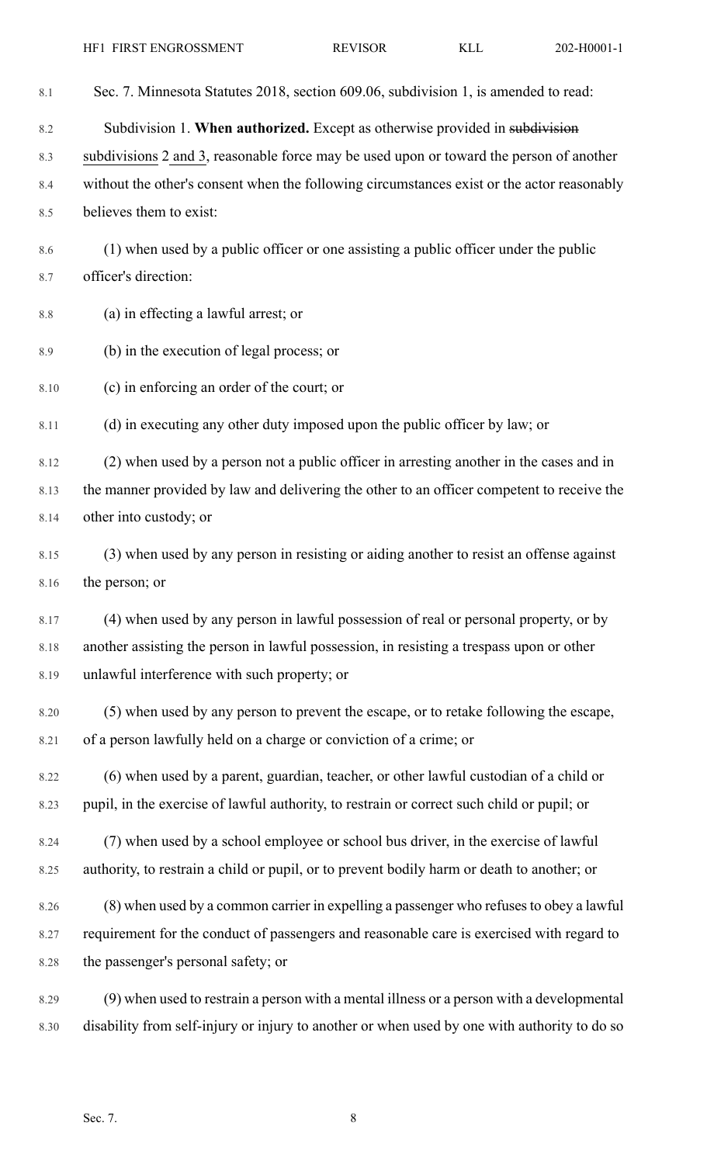| 8.1     | Sec. 7. Minnesota Statutes 2018, section 609.06, subdivision 1, is amended to read:          |
|---------|----------------------------------------------------------------------------------------------|
| 8.2     | Subdivision 1. When authorized. Except as otherwise provided in subdivision                  |
| 8.3     | subdivisions 2 and 3, reasonable force may be used upon or toward the person of another      |
| 8.4     | without the other's consent when the following circumstances exist or the actor reasonably   |
| 8.5     | believes them to exist:                                                                      |
| 8.6     | (1) when used by a public officer or one assisting a public officer under the public         |
| 8.7     | officer's direction:                                                                         |
| $8.8\,$ | (a) in effecting a lawful arrest; or                                                         |
| 8.9     | (b) in the execution of legal process; or                                                    |
| 8.10    | (c) in enforcing an order of the court; or                                                   |
| 8.11    | (d) in executing any other duty imposed upon the public officer by law; or                   |
| 8.12    | (2) when used by a person not a public officer in arresting another in the cases and in      |
| 8.13    | the manner provided by law and delivering the other to an officer competent to receive the   |
| 8.14    | other into custody; or                                                                       |
| 8.15    | (3) when used by any person in resisting or aiding another to resist an offense against      |
| 8.16    | the person; or                                                                               |
| 8.17    | (4) when used by any person in lawful possession of real or personal property, or by         |
| 8.18    | another assisting the person in lawful possession, in resisting a trespass upon or other     |
| 8.19    | unlawful interference with such property; or                                                 |
| 8.20    | (5) when used by any person to prevent the escape, or to retake following the escape,        |
| 8.21    | of a person lawfully held on a charge or conviction of a crime; or                           |
| 8.22    | (6) when used by a parent, guardian, teacher, or other lawful custodian of a child or        |
| 8.23    | pupil, in the exercise of lawful authority, to restrain or correct such child or pupil; or   |
| 8.24    | (7) when used by a school employee or school bus driver, in the exercise of lawful           |
| 8.25    | authority, to restrain a child or pupil, or to prevent bodily harm or death to another; or   |
| 8.26    | (8) when used by a common carrier in expelling a passenger who refuses to obey a lawful      |
| 8.27    | requirement for the conduct of passengers and reasonable care is exercised with regard to    |
| 8.28    | the passenger's personal safety; or                                                          |
| 8.29    | (9) when used to restrain a person with a mental illness or a person with a developmental    |
| 8.30    | disability from self-injury or injury to another or when used by one with authority to do so |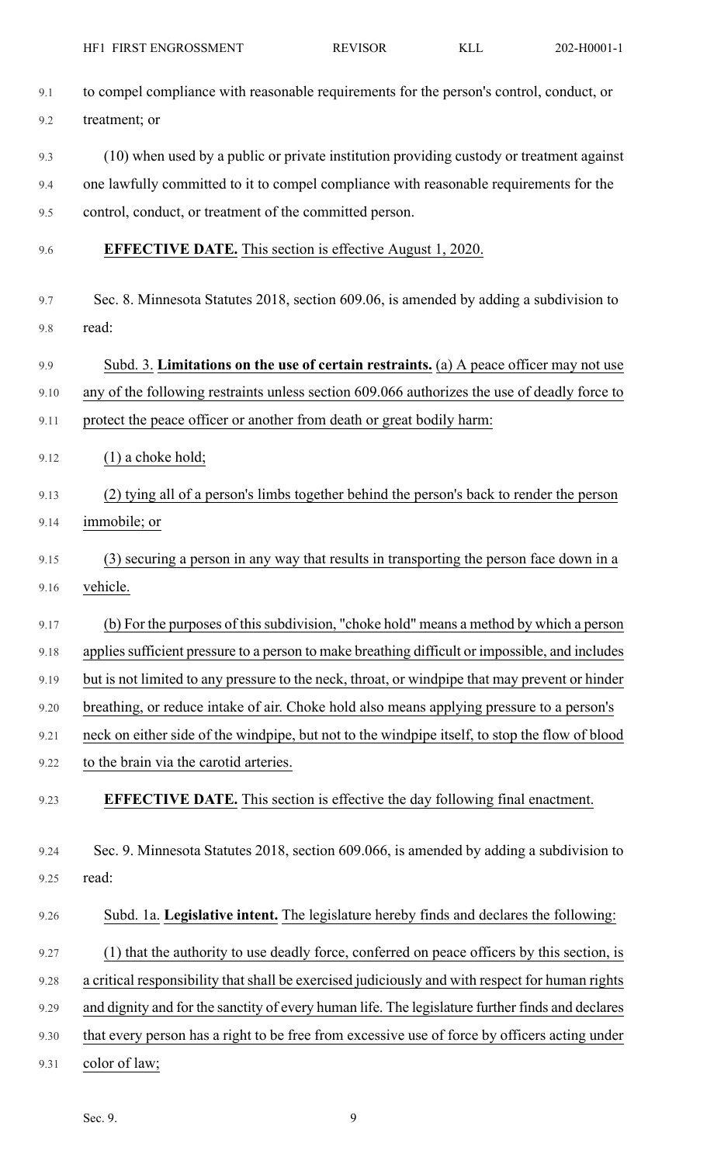| 9.1  | to compel compliance with reasonable requirements for the person's control, conduct, or          |
|------|--------------------------------------------------------------------------------------------------|
| 9.2  | treatment; or                                                                                    |
| 9.3  | (10) when used by a public or private institution providing custody or treatment against         |
| 9.4  | one lawfully committed to it to compel compliance with reasonable requirements for the           |
| 9.5  | control, conduct, or treatment of the committed person.                                          |
| 9.6  | <b>EFFECTIVE DATE.</b> This section is effective August 1, 2020.                                 |
| 9.7  | Sec. 8. Minnesota Statutes 2018, section 609.06, is amended by adding a subdivision to           |
| 9.8  | read:                                                                                            |
| 9.9  | Subd. 3. Limitations on the use of certain restraints. (a) A peace officer may not use           |
| 9.10 | any of the following restraints unless section 609.066 authorizes the use of deadly force to     |
| 9.11 | protect the peace officer or another from death or great bodily harm:                            |
| 9.12 | $(1)$ a choke hold;                                                                              |
| 9.13 | (2) tying all of a person's limbs together behind the person's back to render the person         |
| 9.14 | immobile; or                                                                                     |
| 9.15 | (3) securing a person in any way that results in transporting the person face down in a          |
| 9.16 | vehicle.                                                                                         |
| 9.17 | (b) For the purposes of this subdivision, "choke hold" means a method by which a person          |
| 9.18 | applies sufficient pressure to a person to make breathing difficult or impossible, and includes  |
| 9.19 | but is not limited to any pressure to the neck, throat, or windpipe that may prevent or hinder   |
| 9.20 | breathing, or reduce intake of air. Choke hold also means applying pressure to a person's        |
| 9.21 | neck on either side of the windpipe, but not to the windpipe itself, to stop the flow of blood   |
| 9.22 | to the brain via the carotid arteries.                                                           |
| 9.23 | <b>EFFECTIVE DATE.</b> This section is effective the day following final enactment.              |
| 9.24 | Sec. 9. Minnesota Statutes 2018, section 609.066, is amended by adding a subdivision to          |
| 9.25 | read:                                                                                            |
| 9.26 | Subd. 1a. Legislative intent. The legislature hereby finds and declares the following:           |
| 9.27 | (1) that the authority to use deadly force, conferred on peace officers by this section, is      |
| 9.28 | a critical responsibility that shall be exercised judiciously and with respect for human rights  |
| 9.29 | and dignity and for the sanctity of every human life. The legislature further finds and declares |
| 9.30 | that every person has a right to be free from excessive use of force by officers acting under    |
| 9.31 | color of law;                                                                                    |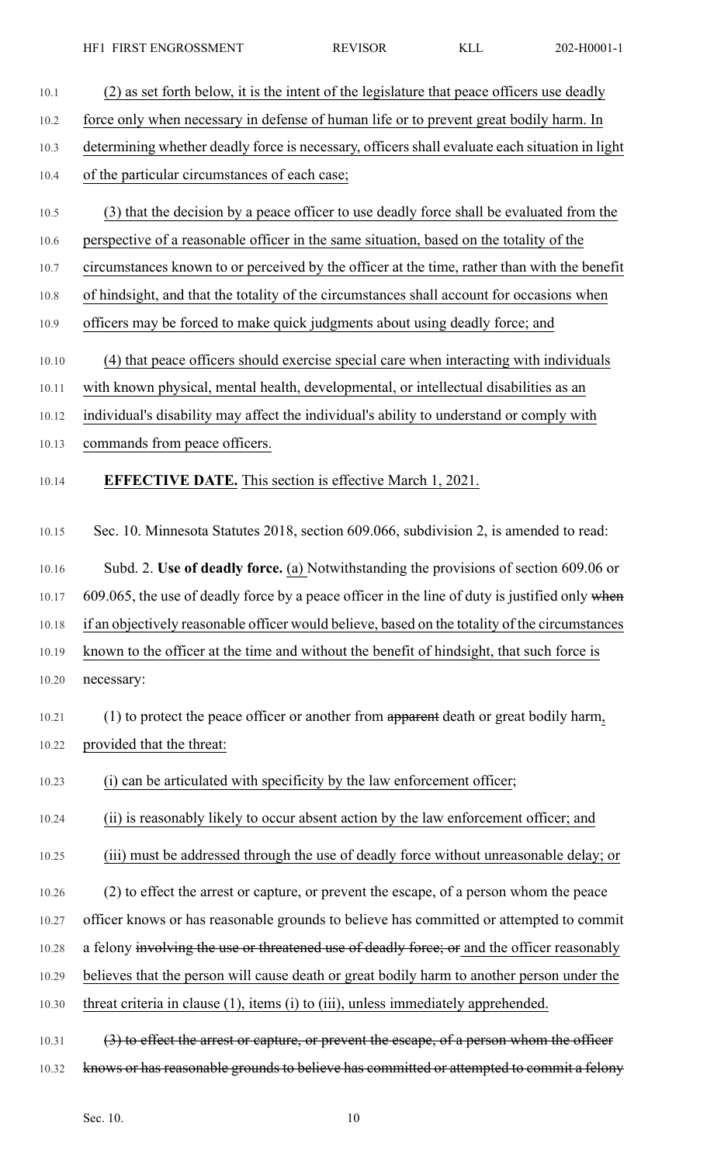10.1 (2) as set forth below, it is the intent of the legislature that peace officers use deadly 10.2 force only when necessary in defense of human life or to prevent great bodily harm. In 10.3 determining whether deadly force is necessary, officers shall evaluate each situation in light 10.4 of the particular circumstances of each case; 10.5 (3) that the decision by a peace officer to use deadly force shall be evaluated from the 10.6 perspective of a reasonable officer in the same situation, based on the totality of the 10.7 circumstances known to or perceived by the officer at the time, rather than with the benefit 10.8 of hindsight, and that the totality of the circumstances shall account for occasions when 10.9 officers may be forced to make quick judgments about using deadly force; and 10.10 (4) that peace officers should exercise special care when interacting with individuals 10.11 with known physical, mental health, developmental, or intellectual disabilities as an 10.12 individual's disability may affect the individual's ability to understand or comply with 10.13 commands from peace officers. 10.14 **EFFECTIVE DATE.** This section is effective March 1, 2021. 10.15 Sec. 10. Minnesota Statutes 2018, section 609.066, subdivision 2, is amended to read: 10.16 Subd. 2. **Use of deadly force.** (a) Notwithstanding the provisions of section 609.06 or 10.17 609.065, the use of deadly force by a peace officer in the line of duty is justified only when 10.18 if an objectively reasonable officer would believe, based on the totality of the circumstances 10.19 known to the officer at the time and without the benefit of hindsight, that such force is 10.20 necessary: 10.21 (1) to protect the peace officer or another from apparent death or great bodily harm, 10.22 provided that the threat: 10.23 (i) can be articulated with specificity by the law enforcement officer; 10.24 (ii) is reasonably likely to occur absent action by the law enforcement officer; and 10.25 (iii) must be addressed through the use of deadly force without unreasonable delay; or 10.26 (2) to effect the arrest or capture, or prevent the escape, of a person whom the peace 10.27 officer knows or has reasonable grounds to believe has committed or attempted to commit 10.28 a felony involving the use or threatened use of deadly force; or and the officer reasonably 10.29 believes that the person will cause death or great bodily harm to another person under the 10.30 threat criteria in clause (1), items (i) to (iii), unless immediately apprehended. 10.31 (3) to effect the arrest or capture, or prevent the escape, of a person whom the officer 10.32 knows or has reasonable grounds to believe has committed or attempted to commit a felony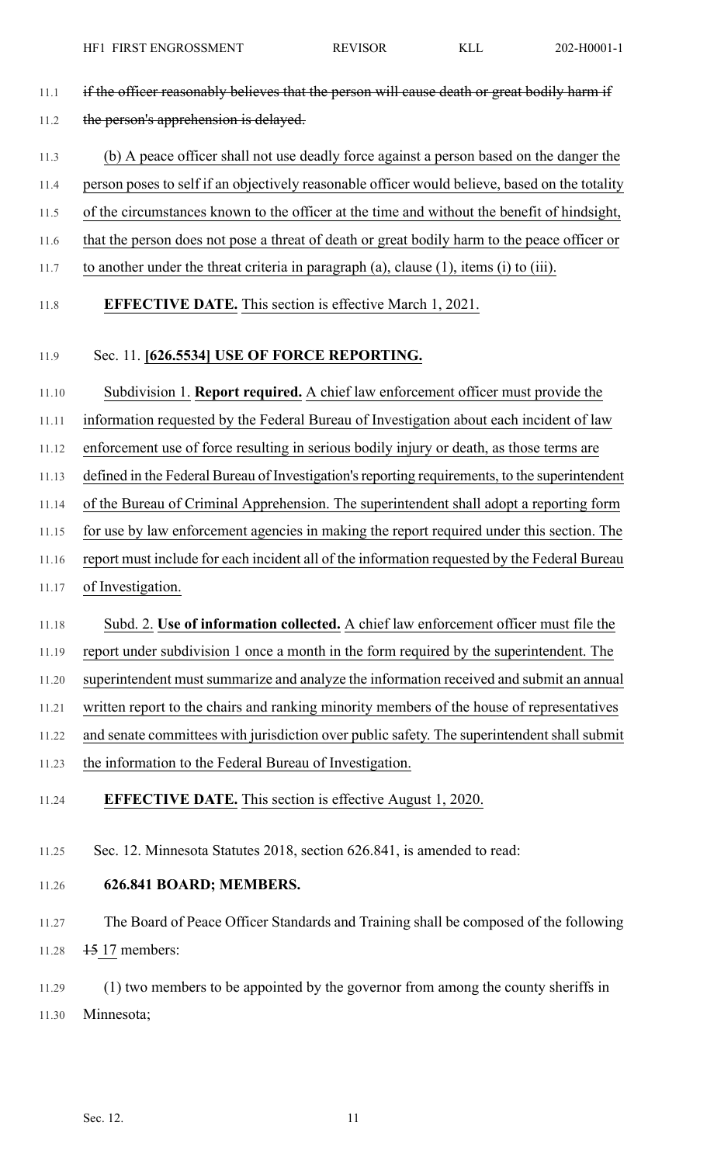- 11.1 if the officer reasonably believes that the person will cause death or great bodily harm if 11.2 the person's apprehension is delayed.
- 11.3 (b) A peace officer shall not use deadly force against a person based on the danger the
- 11.4 person poses to self if an objectively reasonable officer would believe, based on the totality
- 11.5 of the circumstances known to the officer at the time and without the benefit of hindsight,
- 11.6 that the person does not pose a threat of death or great bodily harm to the peace officer or
- 11.7 to another under the threat criteria in paragraph (a), clause (1), items (i) to (iii).
- 11.8 **EFFECTIVE DATE.** This section is effective March 1, 2021.

## 11.9 Sec. 11. **[626.5534] USE OF FORCE REPORTING.**

- 11.10 Subdivision 1. **Report required.** A chief law enforcement officer must provide the
- 11.11 information requested by the Federal Bureau of Investigation about each incident of law
- 11.12 enforcement use of force resulting in serious bodily injury or death, as those terms are
- 11.13 defined in the Federal Bureau of Investigation'sreporting requirements, to the superintendent
- 11.14 of the Bureau of Criminal Apprehension. The superintendent shall adopt a reporting form
- 11.15 for use by law enforcement agencies in making the report required under this section. The
- 11.16 report must include for each incident all of the information requested by the Federal Bureau
- 11.17 of Investigation.
- 11.18 Subd. 2. **Use of information collected.** A chief law enforcement officer must file the
- 11.19 report under subdivision 1 once a month in the form required by the superintendent. The
- 11.20 superintendent must summarize and analyze the information received and submit an annual
- 11.21 written report to the chairs and ranking minority members of the house of representatives
- 11.22 and senate committees with jurisdiction over public safety. The superintendent shall submit
- 11.23 the information to the Federal Bureau of Investigation.
- 11.24 **EFFECTIVE DATE.** This section is effective August 1, 2020.
- 11.25 Sec. 12. Minnesota Statutes 2018, section 626.841, is amended to read:
- 11.26 **626.841 BOARD; MEMBERS.**
- 11.27 The Board of Peace Officer Standards and Training shall be composed of the following 11.28 <del>15</del> 17 members:
- 11.29 (1) two members to be appointed by the governor from among the county sheriffs in 11.30 Minnesota;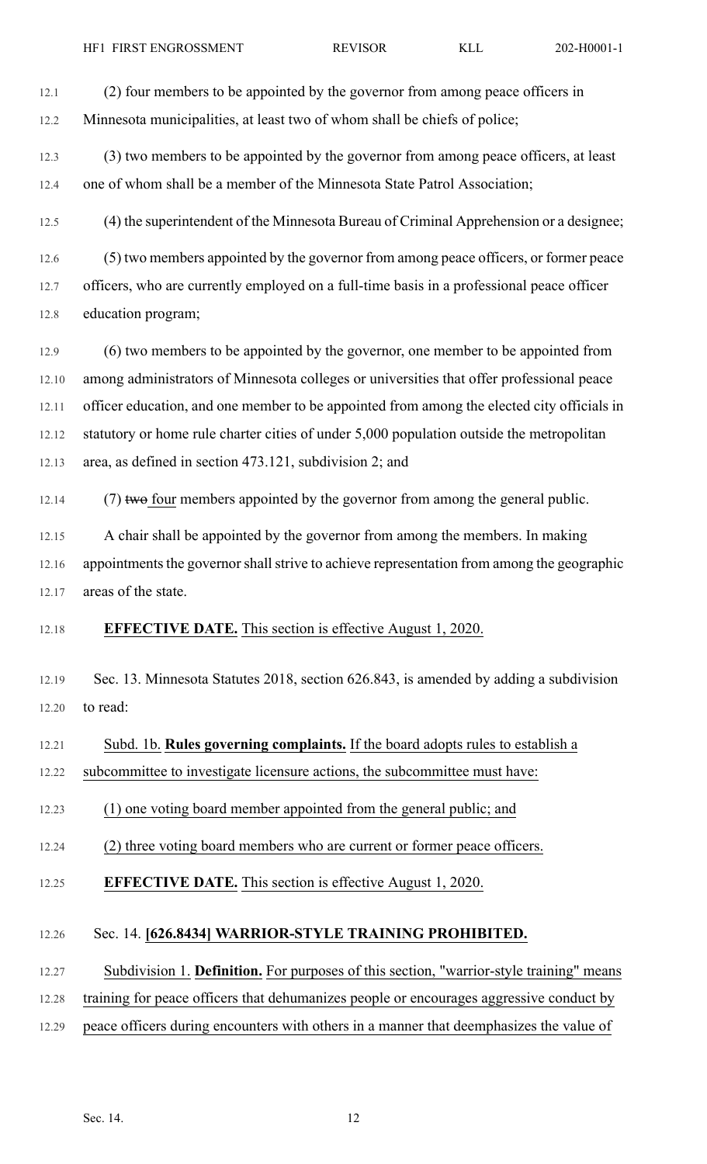12.1 (2) four members to be appointed by the governor from among peace officers in

12.2 Minnesota municipalities, at least two of whom shall be chiefs of police;

- 12.3 (3) two members to be appointed by the governor from among peace officers, at least 12.4 one of whom shall be a member of the Minnesota State Patrol Association;
- 12.5 (4) the superintendent of the Minnesota Bureau of Criminal Apprehension or a designee;
- 12.6 (5) two members appointed by the governor from among peace officers, or former peace 12.7 officers, who are currently employed on a full-time basis in a professional peace officer 12.8 education program;
- 12.9 (6) two members to be appointed by the governor, one member to be appointed from 12.10 among administrators of Minnesota colleges or universities that offer professional peace 12.11 officer education, and one member to be appointed from among the elected city officials in 12.12 statutory or home rule charter cities of under 5,000 population outside the metropolitan 12.13 area, as defined in section 473.121, subdivision 2; and
- 12.14  $(7)$  two four members appointed by the governor from among the general public.
- 12.15 A chair shall be appointed by the governor from among the members. In making 12.16 appointments the governor shall strive to achieve representation from among the geographic 12.17 areas of the state.
- 12.18 **EFFECTIVE DATE.** This section is effective August 1, 2020.
- 12.19 Sec. 13. Minnesota Statutes 2018, section 626.843, is amended by adding a subdivision 12.20 to read:
- 12.21 Subd. 1b. **Rules governing complaints.** If the board adopts rules to establish a
- 12.22 subcommittee to investigate licensure actions, the subcommittee must have:
- 12.23 (1) one voting board member appointed from the general public; and
- 12.24 (2) three voting board members who are current or former peace officers.
- 12.25 **EFFECTIVE DATE.** This section is effective August 1, 2020.

## 12.26 Sec. 14. **[626.8434] WARRIOR-STYLE TRAINING PROHIBITED.**

- 12.27 Subdivision 1. **Definition.** For purposes of this section, "warrior-style training" means
- 12.28 training for peace officers that dehumanizes people or encourages aggressive conduct by
- 12.29 peace officers during encounters with others in a manner that deemphasizes the value of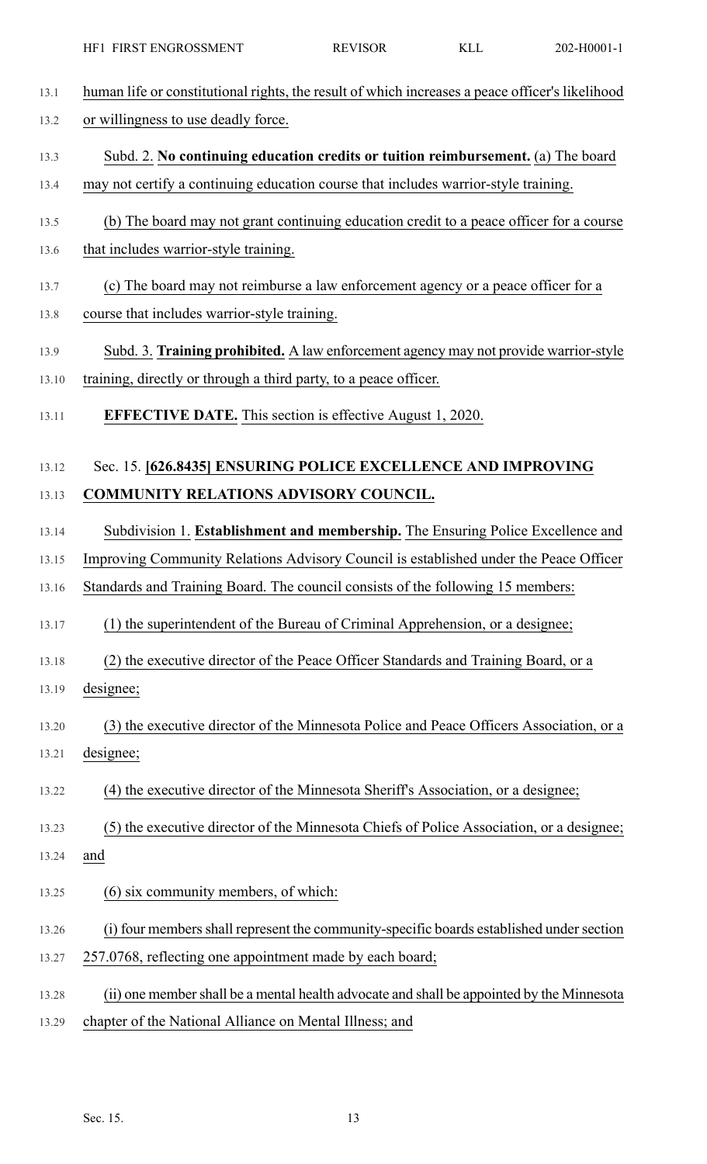- 13.1 human life or constitutional rights, the result of which increases a peace officer's likelihood
- 13.2 or willingness to use deadly force.
- 13.3 Subd. 2. **No continuing education credits or tuition reimbursement.** (a) The board
- 13.4 may not certify a continuing education course that includes warrior-style training.
- 13.5 (b) The board may not grant continuing education credit to a peace officer for a course
- 13.6 that includes warrior-style training.
- 13.7 (c) The board may not reimburse a law enforcement agency or a peace officer for a
- 13.8 course that includes warrior-style training.
- 13.9 Subd. 3. **Training prohibited.** A law enforcement agency may not provide warrior-style 13.10 training, directly or through a third party, to a peace officer.
- 13.11 **EFFECTIVE DATE.** This section is effective August 1, 2020.

# 13.12 Sec. 15. **[626.8435] ENSURING POLICE EXCELLENCE AND IMPROVING** 13.13 **COMMUNITY RELATIONS ADVISORY COUNCIL.**

- 13.14 Subdivision 1. **Establishment and membership.** The Ensuring Police Excellence and
- 13.15 Improving Community Relations Advisory Council is established under the Peace Officer
- 13.16 Standards and Training Board. The council consists of the following 15 members:
- 13.17 (1) the superintendent of the Bureau of Criminal Apprehension, or a designee;
- 13.18 (2) the executive director of the Peace Officer Standards and Training Board, or a 13.19 designee;
- 13.20 (3) the executive director of the Minnesota Police and Peace Officers Association, or a
- 13.21 designee;
- 13.22 (4) the executive director of the Minnesota Sheriff's Association, or a designee;
- 13.23 (5) the executive director of the Minnesota Chiefs of Police Association, or a designee;
- 13.24 and
- 13.25 (6) six community members, of which:
- 13.26 (i) four members shall represent the community-specific boards established under section
- 13.27 257.0768, reflecting one appointment made by each board;
- 13.28 (ii) one membershall be a mental health advocate and shall be appointed by the Minnesota
- 13.29 chapter of the National Alliance on Mental Illness; and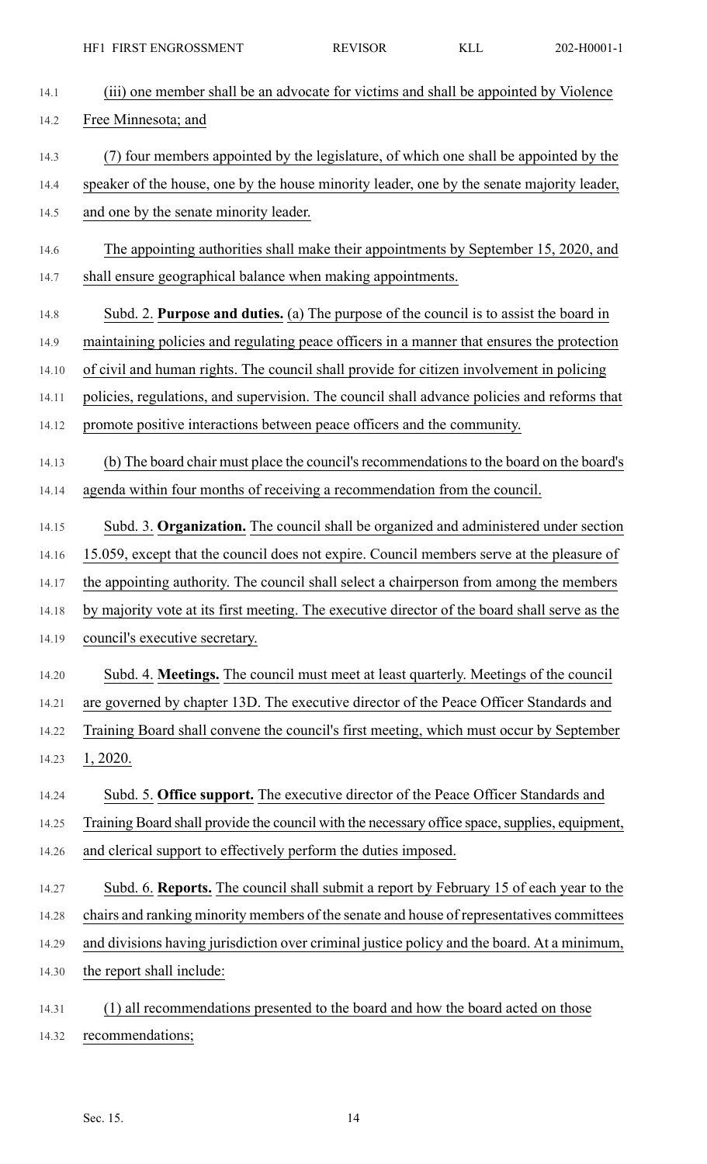| 14.1  | (iii) one member shall be an advocate for victims and shall be appointed by Violence           |
|-------|------------------------------------------------------------------------------------------------|
| 14.2  | Free Minnesota; and                                                                            |
| 14.3  | (7) four members appointed by the legislature, of which one shall be appointed by the          |
| 14.4  | speaker of the house, one by the house minority leader, one by the senate majority leader,     |
| 14.5  | and one by the senate minority leader.                                                         |
| 14.6  | The appointing authorities shall make their appointments by September 15, 2020, and            |
| 14.7  | shall ensure geographical balance when making appointments.                                    |
| 14.8  | Subd. 2. Purpose and duties. (a) The purpose of the council is to assist the board in          |
| 14.9  | maintaining policies and regulating peace officers in a manner that ensures the protection     |
| 14.10 | of civil and human rights. The council shall provide for citizen involvement in policing       |
| 14.11 | policies, regulations, and supervision. The council shall advance policies and reforms that    |
| 14.12 | promote positive interactions between peace officers and the community.                        |
| 14.13 | (b) The board chair must place the council's recommendations to the board on the board's       |
| 14.14 | agenda within four months of receiving a recommendation from the council.                      |
| 14.15 | Subd. 3. Organization. The council shall be organized and administered under section           |
| 14.16 | 15.059, except that the council does not expire. Council members serve at the pleasure of      |
| 14.17 | the appointing authority. The council shall select a chairperson from among the members        |
| 14.18 | by majority vote at its first meeting. The executive director of the board shall serve as the  |
| 14.19 | council's executive secretary.                                                                 |
| 14.20 | Subd. 4. Meetings. The council must meet at least quarterly. Meetings of the council           |
| 14.21 | are governed by chapter 13D. The executive director of the Peace Officer Standards and         |
| 14.22 | Training Board shall convene the council's first meeting, which must occur by September        |
| 14.23 | 1,2020.                                                                                        |
| 14.24 | Subd. 5. Office support. The executive director of the Peace Officer Standards and             |
| 14.25 | Training Board shall provide the council with the necessary office space, supplies, equipment, |
| 14.26 | and clerical support to effectively perform the duties imposed.                                |
| 14.27 | Subd. 6. Reports. The council shall submit a report by February 15 of each year to the         |
| 14.28 | chairs and ranking minority members of the senate and house of representatives committees      |
| 14.29 | and divisions having jurisdiction over criminal justice policy and the board. At a minimum,    |
| 14.30 | the report shall include:                                                                      |
| 14.31 | (1) all recommendations presented to the board and how the board acted on those                |

14.32 recommendations;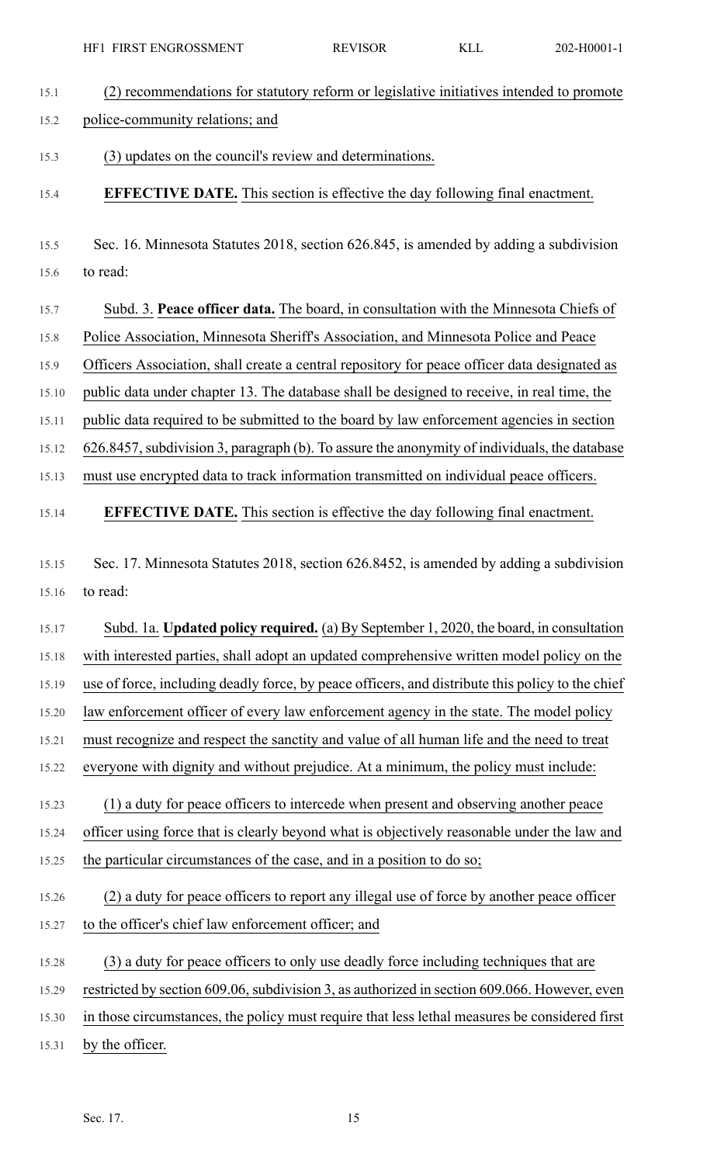15.1 (2) recommendations for statutory reform or legislative initiatives intended to promote

15.2 police-community relations; and

15.3 (3) updates on the council's review and determinations.

- 15.4 **EFFECTIVE DATE.** This section is effective the day following final enactment.
- 15.5 Sec. 16. Minnesota Statutes 2018, section 626.845, is amended by adding a subdivision 15.6 to read:
- 15.7 Subd. 3. **Peace officer data.** The board, in consultation with the Minnesota Chiefs of 15.8 Police Association, Minnesota Sheriff's Association, and Minnesota Police and Peace 15.9 Officers Association, shall create a central repository for peace officer data designated as 15.10 public data under chapter 13. The database shall be designed to receive, in real time, the 15.11 public data required to be submitted to the board by law enforcement agencies in section 15.12 626.8457,subdivision 3, paragraph (b). To assure the anonymity of individuals, the database
- 15.13 must use encrypted data to track information transmitted on individual peace officers.

## 15.14 **EFFECTIVE DATE.** This section is effective the day following final enactment.

- 15.15 Sec. 17. Minnesota Statutes 2018, section 626.8452, is amended by adding a subdivision 15.16 to read:
- 15.17 Subd. 1a. **Updated policy required.** (a) By September 1, 2020, the board, in consultation 15.18 with interested parties, shall adopt an updated comprehensive written model policy on the
- 15.19 use of force, including deadly force, by peace officers, and distribute this policy to the chief
- 15.20 law enforcement officer of every law enforcement agency in the state. The model policy
- 15.21 must recognize and respect the sanctity and value of all human life and the need to treat
- 15.22 everyone with dignity and without prejudice. At a minimum, the policy must include:
- 15.23 (1) a duty for peace officers to intercede when present and observing another peace 15.24 officer using force that is clearly beyond what is objectively reasonable under the law and 15.25 the particular circumstances of the case, and in a position to do so;
- 15.26 (2) a duty for peace officers to report any illegal use of force by another peace officer 15.27 to the officer's chief law enforcement officer; and
- 15.28 (3) a duty for peace officers to only use deadly force including techniques that are
- 15.29 restricted by section 609.06, subdivision 3, as authorized in section 609.066. However, even
- 15.30 in those circumstances, the policy must require that less lethal measures be considered first
- 15.31 by the officer.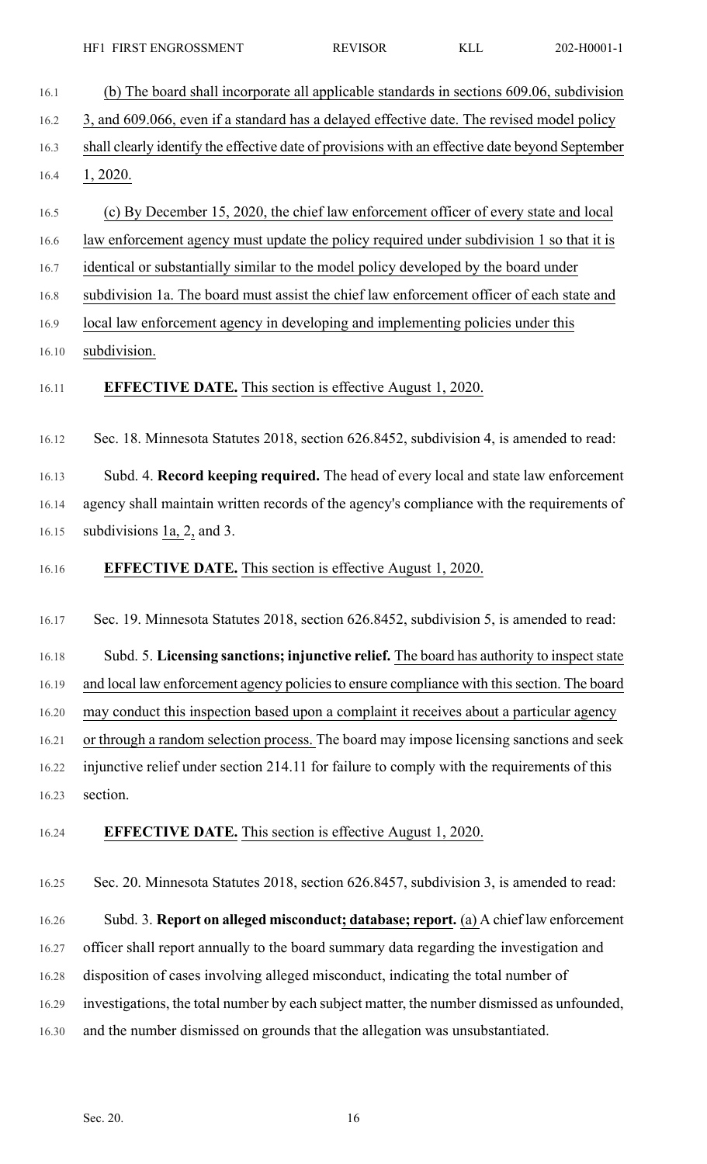16.1 (b) The board shall incorporate all applicable standards in sections 609.06, subdivision 16.2 3, and 609.066, even if a standard has a delayed effective date. The revised model policy 16.3 shall clearly identify the effective date of provisions with an effective date beyond September 16.4 1, 2020. 16.5 (c) By December 15, 2020, the chief law enforcement officer of every state and local 16.6 law enforcement agency must update the policy required under subdivision 1 so that it is 16.7 identical or substantially similar to the model policy developed by the board under 16.8 subdivision 1a. The board must assist the chief law enforcement officer of each state and 16.9 local law enforcement agency in developing and implementing policies under this 16.10 subdivision. 16.11 **EFFECTIVE DATE.** This section is effective August 1, 2020. 16.12 Sec. 18. Minnesota Statutes 2018, section 626.8452, subdivision 4, is amended to read: 16.13 Subd. 4. **Record keeping required.** The head of every local and state law enforcement 16.14 agency shall maintain written records of the agency's compliance with the requirements of 16.15 subdivisions 1a, 2, and 3. 16.16 **EFFECTIVE DATE.** This section is effective August 1, 2020. 16.17 Sec. 19. Minnesota Statutes 2018, section 626.8452, subdivision 5, is amended to read: 16.18 Subd. 5. **Licensing sanctions; injunctive relief.** The board has authority to inspectstate 16.19 and local law enforcement agency policies to ensure compliance with this section. The board 16.20 may conduct this inspection based upon a complaint it receives about a particular agency 16.21 or through a random selection process. The board may impose licensing sanctions and seek 16.22 injunctive relief under section 214.11 for failure to comply with the requirements of this 16.23 section. 16.24 **EFFECTIVE DATE.** This section is effective August 1, 2020. 16.25 Sec. 20. Minnesota Statutes 2018, section 626.8457, subdivision 3, is amended to read: 16.26 Subd. 3. **Report on alleged misconduct; database; report.** (a) A chief law enforcement 16.27 officer shall report annually to the board summary data regarding the investigation and 16.28 disposition of cases involving alleged misconduct, indicating the total number of 16.29 investigations, the total number by each subject matter, the number dismissed as unfounded, 16.30 and the number dismissed on grounds that the allegation was unsubstantiated.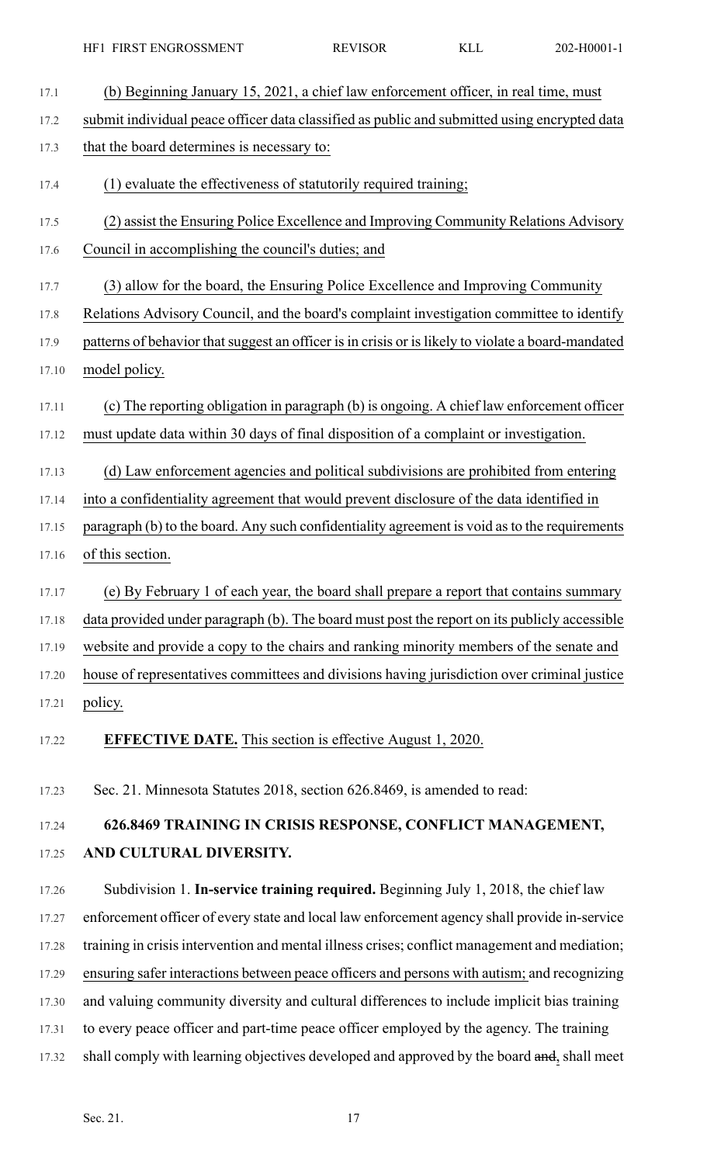| 17.1  | (b) Beginning January 15, 2021, a chief law enforcement officer, in real time, must                |
|-------|----------------------------------------------------------------------------------------------------|
| 17.2  | submit individual peace officer data classified as public and submitted using encrypted data       |
| 17.3  | that the board determines is necessary to:                                                         |
| 17.4  | (1) evaluate the effectiveness of statutorily required training;                                   |
| 17.5  | (2) assist the Ensuring Police Excellence and Improving Community Relations Advisory               |
| 17.6  | Council in accomplishing the council's duties; and                                                 |
| 17.7  | (3) allow for the board, the Ensuring Police Excellence and Improving Community                    |
| 17.8  | Relations Advisory Council, and the board's complaint investigation committee to identify          |
| 17.9  | patterns of behavior that suggest an officer is in crisis or is likely to violate a board-mandated |
| 17.10 | model policy.                                                                                      |
| 17.11 | (c) The reporting obligation in paragraph (b) is ongoing. A chief law enforcement officer          |
| 17.12 | must update data within 30 days of final disposition of a complaint or investigation.              |
| 17.13 | (d) Law enforcement agencies and political subdivisions are prohibited from entering               |
| 17.14 | into a confidentiality agreement that would prevent disclosure of the data identified in           |
| 17.15 | paragraph (b) to the board. Any such confidentiality agreement is void as to the requirements      |
| 17.16 | of this section.                                                                                   |
|       |                                                                                                    |
| 17.17 | (e) By February 1 of each year, the board shall prepare a report that contains summary             |
| 17.18 | data provided under paragraph (b). The board must post the report on its publicly accessible       |
| 17.19 | website and provide a copy to the chairs and ranking minority members of the senate and            |
| 17.20 | house of representatives committees and divisions having jurisdiction over criminal justice        |
| 17.21 | policy.                                                                                            |
| 17.22 | <b>EFFECTIVE DATE.</b> This section is effective August 1, 2020.                                   |
| 17.23 | Sec. 21. Minnesota Statutes 2018, section 626.8469, is amended to read:                            |
| 17.24 | 626.8469 TRAINING IN CRISIS RESPONSE, CONFLICT MANAGEMENT,                                         |
| 17.25 | AND CULTURAL DIVERSITY.                                                                            |
| 17.26 | Subdivision 1. In-service training required. Beginning July 1, 2018, the chief law                 |
| 17.27 | enforcement officer of every state and local law enforcement agency shall provide in-service       |
| 17.28 | training in crisis intervention and mental illness crises; conflict management and mediation;      |
| 17.29 | ensuring safer interactions between peace officers and persons with autism; and recognizing        |
| 17.30 | and valuing community diversity and cultural differences to include implicit bias training         |
| 17.31 | to every peace officer and part-time peace officer employed by the agency. The training            |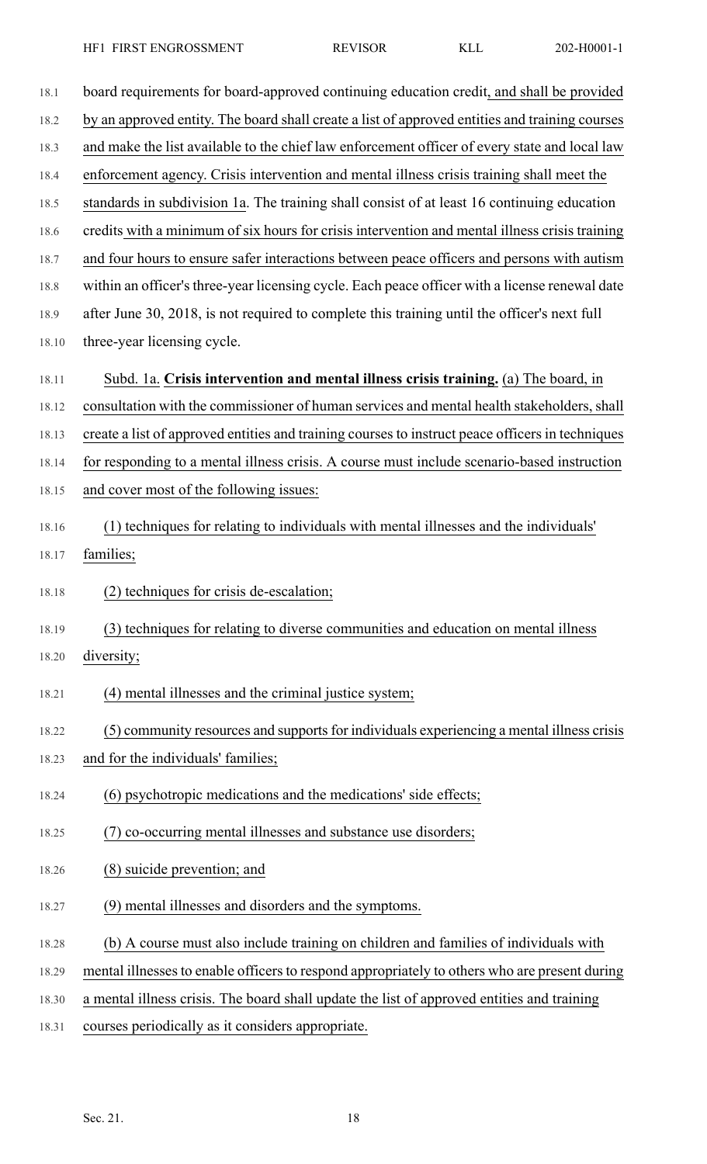| 18.1  | board requirements for board-approved continuing education credit, and shall be provided         |
|-------|--------------------------------------------------------------------------------------------------|
| 18.2  | by an approved entity. The board shall create a list of approved entities and training courses   |
| 18.3  | and make the list available to the chief law enforcement officer of every state and local law    |
| 18.4  | enforcement agency. Crisis intervention and mental illness crisis training shall meet the        |
| 18.5  | standards in subdivision 1a. The training shall consist of at least 16 continuing education      |
| 18.6  | credits with a minimum of six hours for crisis intervention and mental illness crisis training   |
| 18.7  | and four hours to ensure safer interactions between peace officers and persons with autism       |
| 18.8  | within an officer's three-year licensing cycle. Each peace officer with a license renewal date   |
| 18.9  | after June 30, 2018, is not required to complete this training until the officer's next full     |
| 18.10 | three-year licensing cycle.                                                                      |
| 18.11 | Subd. 1a. Crisis intervention and mental illness crisis training. (a) The board, in              |
| 18.12 | consultation with the commissioner of human services and mental health stakeholders, shall       |
| 18.13 | create a list of approved entities and training courses to instruct peace officers in techniques |
| 18.14 | for responding to a mental illness crisis. A course must include scenario-based instruction      |
| 18.15 | and cover most of the following issues:                                                          |
| 18.16 | (1) techniques for relating to individuals with mental illnesses and the individuals'            |
| 18.17 | families;                                                                                        |
| 18.18 | (2) techniques for crisis de-escalation;                                                         |
| 18.19 | (3) techniques for relating to diverse communities and education on mental illness               |
| 18.20 | diversity;                                                                                       |
| 18.21 | (4) mental illnesses and the criminal justice system;                                            |
| 18.22 | (5) community resources and supports for individuals experiencing a mental illness crisis        |
| 18.23 | and for the individuals' families;                                                               |
| 18.24 | (6) psychotropic medications and the medications' side effects;                                  |
| 18.25 | (7) co-occurring mental illnesses and substance use disorders;                                   |
| 18.26 | (8) suicide prevention; and                                                                      |
| 18.27 | (9) mental illnesses and disorders and the symptoms.                                             |
| 18.28 | (b) A course must also include training on children and families of individuals with             |
| 18.29 | mental illnesses to enable officers to respond appropriately to others who are present during    |
| 18.30 | a mental illness crisis. The board shall update the list of approved entities and training       |
| 18.31 | courses periodically as it considers appropriate.                                                |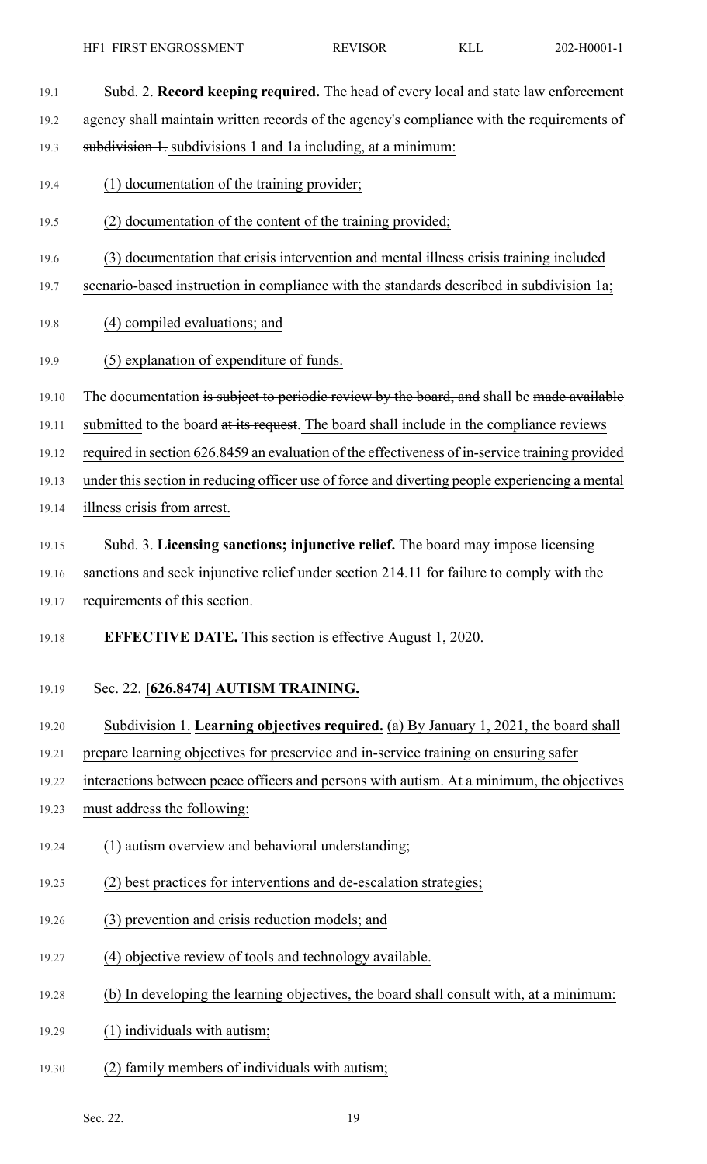| 19.1  | Subd. 2. Record keeping required. The head of every local and state law enforcement             |
|-------|-------------------------------------------------------------------------------------------------|
| 19.2  | agency shall maintain written records of the agency's compliance with the requirements of       |
| 19.3  | subdivision 1. subdivisions 1 and 1a including, at a minimum:                                   |
| 19.4  | (1) documentation of the training provider;                                                     |
| 19.5  | (2) documentation of the content of the training provided;                                      |
| 19.6  | (3) documentation that crisis intervention and mental illness crisis training included          |
| 19.7  | scenario-based instruction in compliance with the standards described in subdivision 1a;        |
| 19.8  | (4) compiled evaluations; and                                                                   |
| 19.9  | (5) explanation of expenditure of funds.                                                        |
| 19.10 | The documentation is subject to periodic review by the board, and shall be made available       |
| 19.11 | submitted to the board at its request. The board shall include in the compliance reviews        |
| 19.12 | required in section 626.8459 an evaluation of the effectiveness of in-service training provided |
| 19.13 | under this section in reducing officer use of force and diverting people experiencing a mental  |
| 19.14 | illness crisis from arrest.                                                                     |
| 19.15 | Subd. 3. Licensing sanctions; injunctive relief. The board may impose licensing                 |
| 19.16 | sanctions and seek injunctive relief under section 214.11 for failure to comply with the        |
|       | 19.17 requirements of this section.                                                             |
| 19.18 | <b>EFFECTIVE DATE.</b> This section is effective August 1, 2020.                                |
| 19.19 | Sec. 22. [626.8474] AUTISM TRAINING.                                                            |
| 19.20 | Subdivision 1. Learning objectives required. (a) By January 1, 2021, the board shall            |
| 19.21 | prepare learning objectives for preservice and in-service training on ensuring safer            |
| 19.22 | interactions between peace officers and persons with autism. At a minimum, the objectives       |
| 19.23 | must address the following:                                                                     |
| 19.24 | (1) autism overview and behavioral understanding;                                               |
| 19.25 | (2) best practices for interventions and de-escalation strategies;                              |
| 19.26 | (3) prevention and crisis reduction models; and                                                 |
| 19.27 | (4) objective review of tools and technology available.                                         |
| 19.28 | (b) In developing the learning objectives, the board shall consult with, at a minimum:          |
| 19.29 | (1) individuals with autism;                                                                    |
| 19.30 | (2) family members of individuals with autism;                                                  |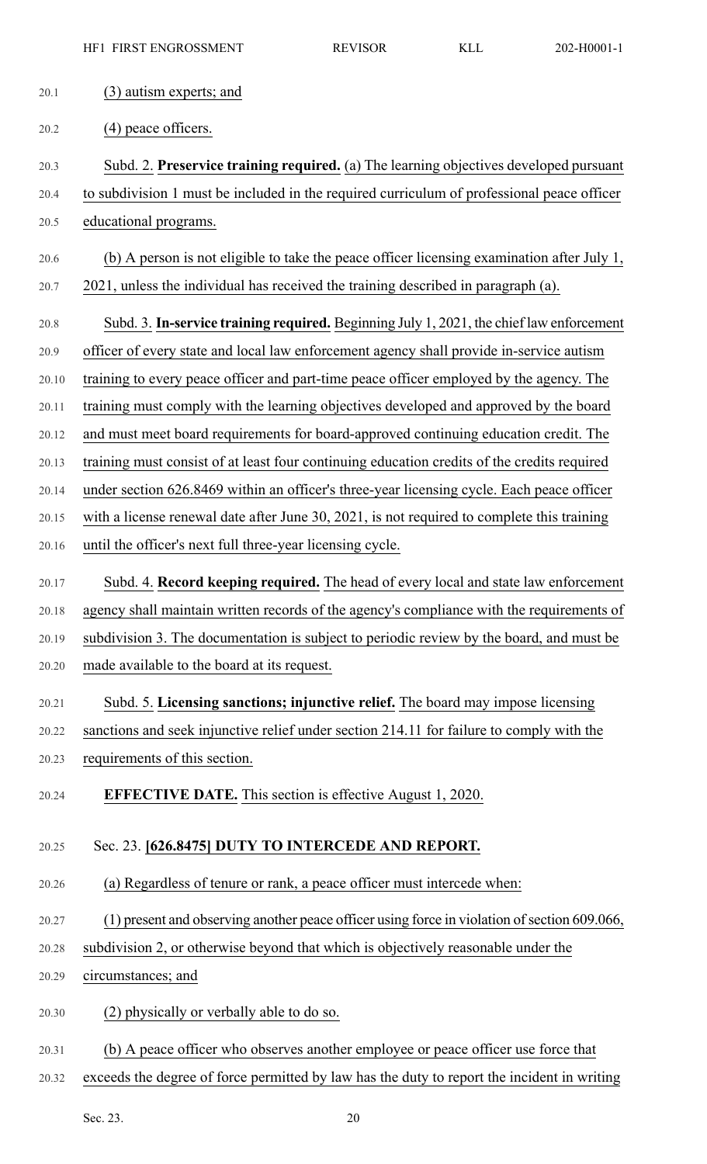- 20.1 (3) autism experts; and
- 20.2 (4) peace officers.
- 20.3 Subd. 2. **Preservice training required.** (a) The learning objectives developed pursuant 20.4 to subdivision 1 must be included in the required curriculum of professional peace officer
- 20.5 educational programs.
- 20.6 (b) A person is not eligible to take the peace officer licensing examination after July 1, 20.7 2021, unless the individual has received the training described in paragraph (a).
- 20.8 Subd. 3. **In-service training required.** Beginning July 1, 2021, the chief law enforcement 20.9 officer of every state and local law enforcement agency shall provide in-service autism 20.10 training to every peace officer and part-time peace officer employed by the agency. The 20.11 training must comply with the learning objectives developed and approved by the board 20.12 and must meet board requirements for board-approved continuing education credit. The 20.13 training must consist of at least four continuing education credits of the credits required 20.14 under section 626.8469 within an officer's three-year licensing cycle. Each peace officer 20.15 with a license renewal date after June 30, 2021, is not required to complete this training 20.16 until the officer's next full three-year licensing cycle.
- 20.17 Subd. 4. **Record keeping required.** The head of every local and state law enforcement 20.18 agency shall maintain written records of the agency's compliance with the requirements of 20.19 subdivision 3. The documentation is subject to periodic review by the board, and must be 20.20 made available to the board at its request.
- 20.21 Subd. 5. **Licensing sanctions; injunctive relief.** The board may impose licensing 20.22 sanctions and seek injunctive relief under section 214.11 for failure to comply with the 20.23 requirements of this section.
- 20.24 **EFFECTIVE DATE.** This section is effective August 1, 2020.

## 20.25 Sec. 23. **[626.8475] DUTY TO INTERCEDE AND REPORT.**

- 20.26 (a) Regardless of tenure or rank, a peace officer must intercede when:
- 20.27 (1) present and observing another peace officer using force in violation of section 609.066,
- 20.28 subdivision 2, or otherwise beyond that which is objectively reasonable under the
- 20.29 circumstances; and
- 20.30 (2) physically or verbally able to do so.
- 20.31 (b) A peace officer who observes another employee or peace officer use force that
- 20.32 exceeds the degree of force permitted by law has the duty to report the incident in writing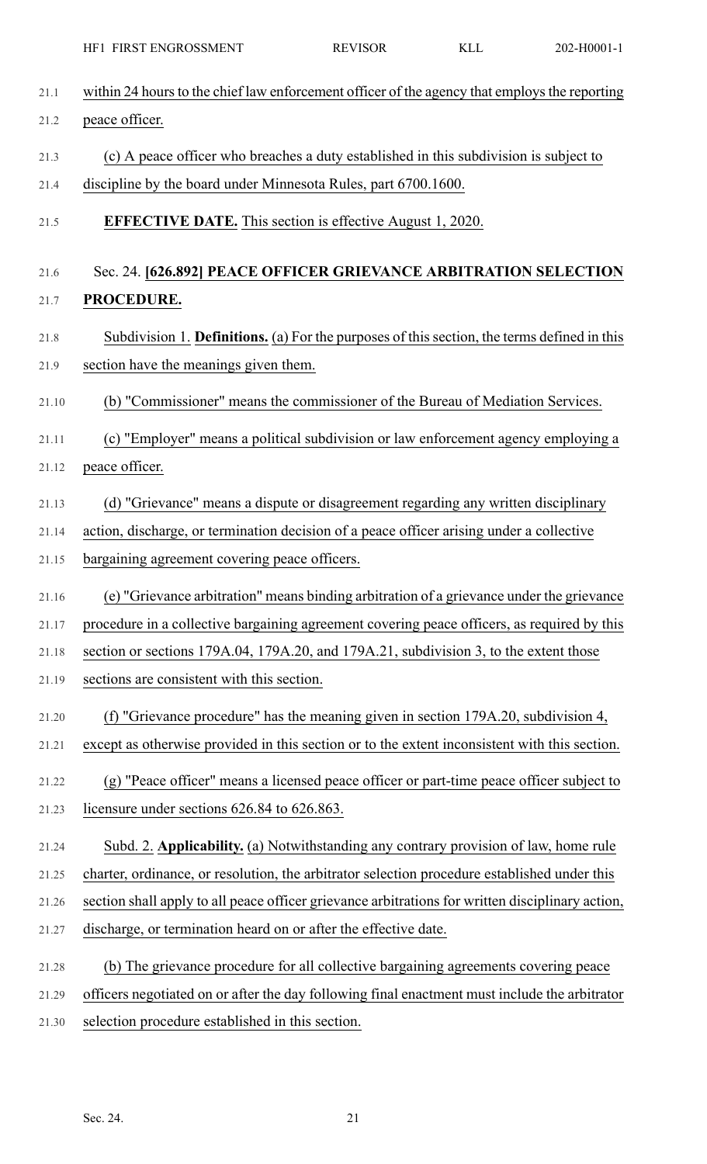| 21.1  | within 24 hours to the chief law enforcement officer of the agency that employs the reporting    |
|-------|--------------------------------------------------------------------------------------------------|
| 21.2  | peace officer.                                                                                   |
| 21.3  | (c) A peace officer who breaches a duty established in this subdivision is subject to            |
| 21.4  | discipline by the board under Minnesota Rules, part 6700.1600.                                   |
| 21.5  | <b>EFFECTIVE DATE.</b> This section is effective August 1, 2020.                                 |
| 21.6  | Sec. 24. [626.892] PEACE OFFICER GRIEVANCE ARBITRATION SELECTION                                 |
| 21.7  | PROCEDURE.                                                                                       |
| 21.8  | Subdivision 1. Definitions. (a) For the purposes of this section, the terms defined in this      |
| 21.9  | section have the meanings given them.                                                            |
| 21.10 | (b) "Commissioner" means the commissioner of the Bureau of Mediation Services.                   |
| 21.11 | (c) "Employer" means a political subdivision or law enforcement agency employing a               |
| 21.12 | peace officer.                                                                                   |
| 21.13 | (d) "Grievance" means a dispute or disagreement regarding any written disciplinary               |
| 21.14 | action, discharge, or termination decision of a peace officer arising under a collective         |
| 21.15 | bargaining agreement covering peace officers.                                                    |
| 21.16 | (e) "Grievance arbitration" means binding arbitration of a grievance under the grievance         |
| 21.17 | procedure in a collective bargaining agreement covering peace officers, as required by this      |
| 21.18 | section or sections 179A.04, 179A.20, and 179A.21, subdivision 3, to the extent those            |
| 21.19 | sections are consistent with this section.                                                       |
| 21.20 | (f) "Grievance procedure" has the meaning given in section 179A.20, subdivision 4,               |
| 21.21 | except as otherwise provided in this section or to the extent inconsistent with this section.    |
| 21.22 | (g) "Peace officer" means a licensed peace officer or part-time peace officer subject to         |
| 21.23 | licensure under sections 626.84 to 626.863.                                                      |
| 21.24 | Subd. 2. Applicability. (a) Notwithstanding any contrary provision of law, home rule             |
| 21.25 | charter, ordinance, or resolution, the arbitrator selection procedure established under this     |
| 21.26 | section shall apply to all peace officer grievance arbitrations for written disciplinary action, |
| 21.27 | discharge, or termination heard on or after the effective date.                                  |
| 21.28 | (b) The grievance procedure for all collective bargaining agreements covering peace              |
| 21.29 | officers negotiated on or after the day following final enactment must include the arbitrator    |
| 21.30 | selection procedure established in this section.                                                 |
|       |                                                                                                  |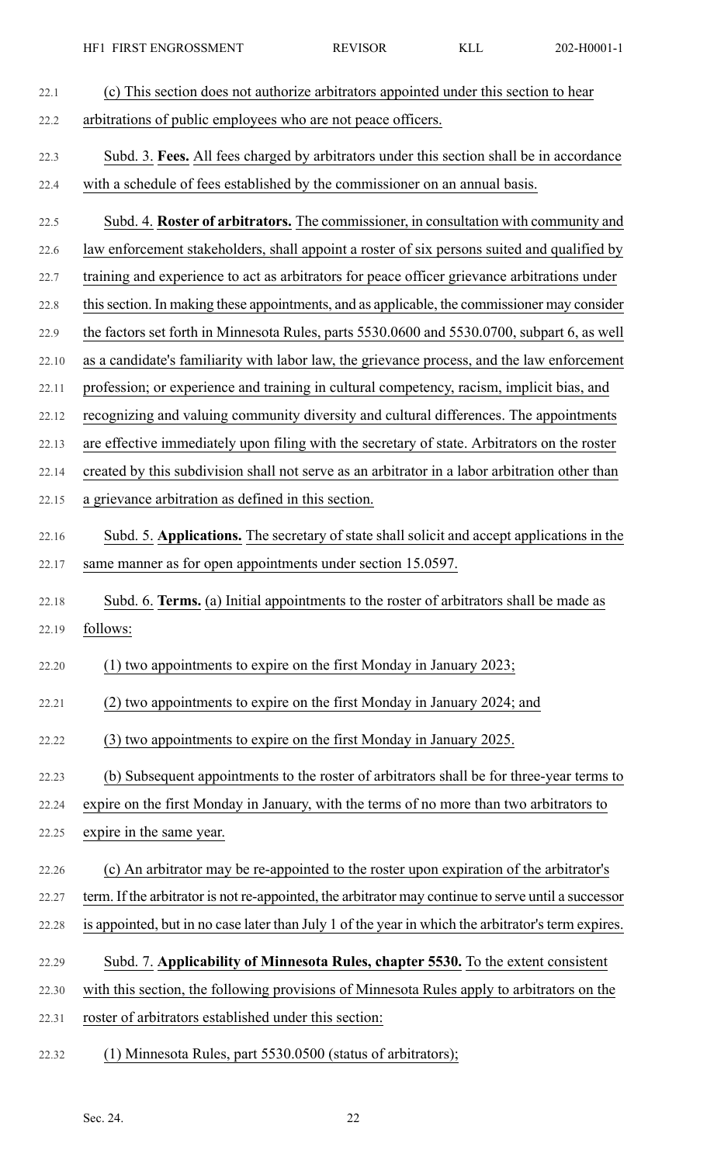| 22.1  | (c) This section does not authorize arbitrators appointed under this section to hear                |
|-------|-----------------------------------------------------------------------------------------------------|
| 22.2  | arbitrations of public employees who are not peace officers.                                        |
| 22.3  | Subd. 3. Fees. All fees charged by arbitrators under this section shall be in accordance            |
| 22.4  | with a schedule of fees established by the commissioner on an annual basis.                         |
| 22.5  | Subd. 4. Roster of arbitrators. The commissioner, in consultation with community and                |
| 22.6  | law enforcement stakeholders, shall appoint a roster of six persons suited and qualified by         |
| 22.7  | training and experience to act as arbitrators for peace officer grievance arbitrations under        |
| 22.8  | this section. In making these appointments, and as applicable, the commissioner may consider        |
| 22.9  | the factors set forth in Minnesota Rules, parts 5530.0600 and 5530.0700, subpart 6, as well         |
| 22.10 | as a candidate's familiarity with labor law, the grievance process, and the law enforcement         |
| 22.11 | profession; or experience and training in cultural competency, racism, implicit bias, and           |
| 22.12 | recognizing and valuing community diversity and cultural differences. The appointments              |
| 22.13 | are effective immediately upon filing with the secretary of state. Arbitrators on the roster        |
| 22.14 | created by this subdivision shall not serve as an arbitrator in a labor arbitration other than      |
| 22.15 | a grievance arbitration as defined in this section.                                                 |
| 22.16 | Subd. 5. Applications. The secretary of state shall solicit and accept applications in the          |
| 22.17 | same manner as for open appointments under section 15.0597.                                         |
| 22.18 | Subd. 6. Terms. (a) Initial appointments to the roster of arbitrators shall be made as              |
| 22.19 | follows:                                                                                            |
| 22.20 | (1) two appointments to expire on the first Monday in January 2023;                                 |
| 22.21 | (2) two appointments to expire on the first Monday in January 2024; and                             |
| 22.22 | (3) two appointments to expire on the first Monday in January 2025.                                 |
| 22.23 | (b) Subsequent appointments to the roster of arbitrators shall be for three-year terms to           |
| 22.24 | expire on the first Monday in January, with the terms of no more than two arbitrators to            |
| 22.25 | expire in the same year.                                                                            |
| 22.26 | (c) An arbitrator may be re-appointed to the roster upon expiration of the arbitrator's             |
| 22.27 | term. If the arbitrator is not re-appointed, the arbitrator may continue to serve until a successor |
| 22.28 | is appointed, but in no case later than July 1 of the year in which the arbitrator's term expires.  |
| 22.29 | Subd. 7. Applicability of Minnesota Rules, chapter 5530. To the extent consistent                   |
| 22.30 | with this section, the following provisions of Minnesota Rules apply to arbitrators on the          |
| 22.31 | roster of arbitrators established under this section:                                               |

22.32 (1) Minnesota Rules, part 5530.0500 (status of arbitrators);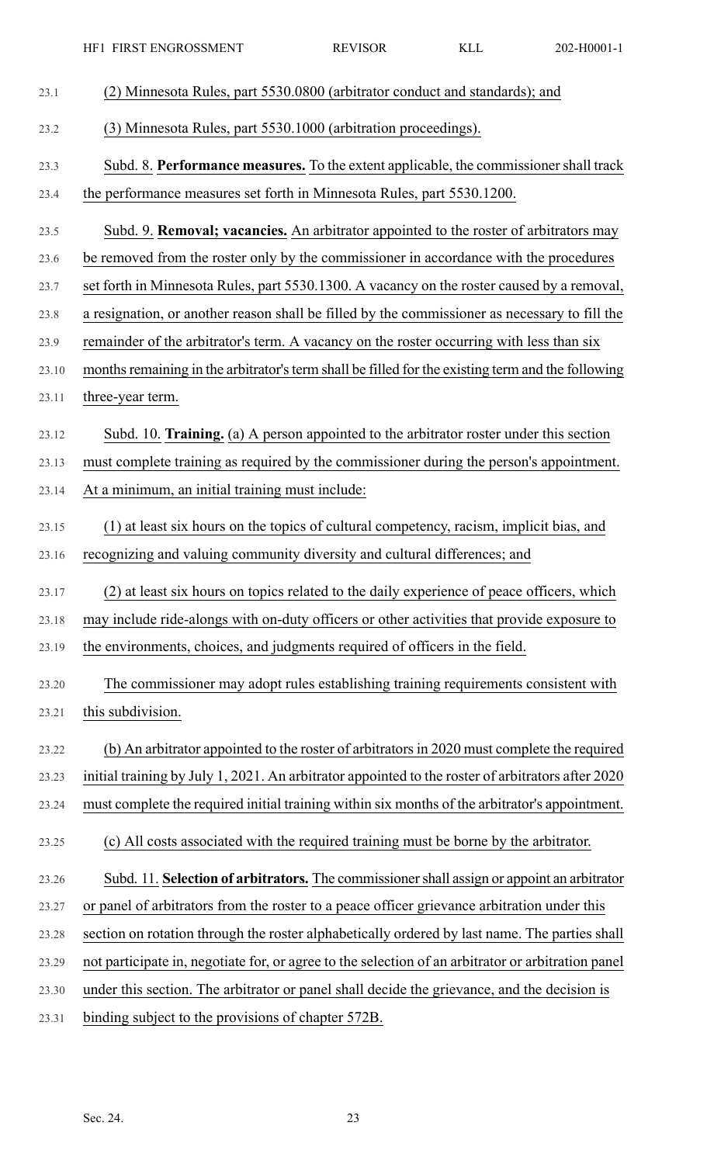|       | HF1 FIRST ENGROSSMENT                                                                              | <b>REVISOR</b> | <b>KLL</b> | 202-H0001-1 |
|-------|----------------------------------------------------------------------------------------------------|----------------|------------|-------------|
| 23.1  | (2) Minnesota Rules, part 5530.0800 (arbitrator conduct and standards); and                        |                |            |             |
| 23.2  | (3) Minnesota Rules, part 5530.1000 (arbitration proceedings).                                     |                |            |             |
| 23.3  | Subd. 8. Performance measures. To the extent applicable, the commissioner shall track              |                |            |             |
| 23.4  | the performance measures set forth in Minnesota Rules, part 5530.1200.                             |                |            |             |
| 23.5  | Subd. 9. <b>Removal; vacancies.</b> An arbitrator appointed to the roster of arbitrators may       |                |            |             |
| 23.6  | be removed from the roster only by the commissioner in accordance with the procedures              |                |            |             |
| 23.7  | set forth in Minnesota Rules, part 5530.1300. A vacancy on the roster caused by a removal,         |                |            |             |
| 23.8  | a resignation, or another reason shall be filled by the commissioner as necessary to fill the      |                |            |             |
| 23.9  | remainder of the arbitrator's term. A vacancy on the roster occurring with less than six           |                |            |             |
| 23.10 | months remaining in the arbitrator's term shall be filled for the existing term and the following  |                |            |             |
| 23.11 | three-year term.                                                                                   |                |            |             |
| 23.12 | Subd. 10. Training. (a) A person appointed to the arbitrator roster under this section             |                |            |             |
| 23.13 | must complete training as required by the commissioner during the person's appointment.            |                |            |             |
| 23.14 | At a minimum, an initial training must include:                                                    |                |            |             |
| 23.15 | (1) at least six hours on the topics of cultural competency, racism, implicit bias, and            |                |            |             |
| 23.16 | recognizing and valuing community diversity and cultural differences; and                          |                |            |             |
| 23.17 | (2) at least six hours on topics related to the daily experience of peace officers, which          |                |            |             |
| 23.18 | may include ride-alongs with on-duty officers or other activities that provide exposure to         |                |            |             |
| 23.19 | the environments, choices, and judgments required of officers in the field.                        |                |            |             |
| 23.20 | The commissioner may adopt rules establishing training requirements consistent with                |                |            |             |
| 23.21 | this subdivision.                                                                                  |                |            |             |
| 23.22 | (b) An arbitrator appointed to the roster of arbitrators in 2020 must complete the required        |                |            |             |
| 23.23 | initial training by July 1, 2021. An arbitrator appointed to the roster of arbitrators after 2020  |                |            |             |
| 23.24 | must complete the required initial training within six months of the arbitrator's appointment.     |                |            |             |
| 23.25 | (c) All costs associated with the required training must be borne by the arbitrator.               |                |            |             |
| 23.26 | Subd. 11. Selection of arbitrators. The commissioner shall assign or appoint an arbitrator         |                |            |             |
| 23.27 | or panel of arbitrators from the roster to a peace officer grievance arbitration under this        |                |            |             |
| 23.28 | section on rotation through the roster alphabetically ordered by last name. The parties shall      |                |            |             |
| 23.29 | not participate in, negotiate for, or agree to the selection of an arbitrator or arbitration panel |                |            |             |
| 23.30 | under this section. The arbitrator or panel shall decide the grievance, and the decision is        |                |            |             |
| 23.31 | binding subject to the provisions of chapter 572B.                                                 |                |            |             |
|       |                                                                                                    |                |            |             |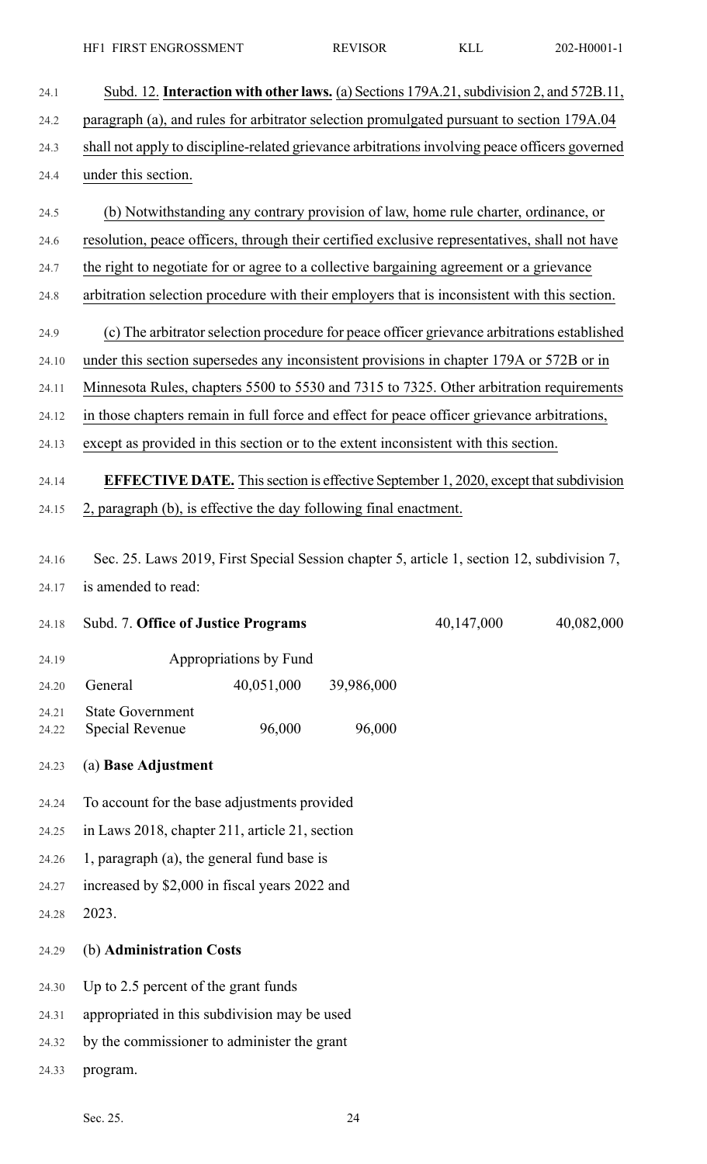| 24.1           | Subd. 12. Interaction with other laws. (a) Sections 179A.21, subdivision 2, and 572B.11,       |  |
|----------------|------------------------------------------------------------------------------------------------|--|
| 24.2           | paragraph (a), and rules for arbitrator selection promulgated pursuant to section 179A.04      |  |
| 24.3           | shall not apply to discipline-related grievance arbitrations involving peace officers governed |  |
| 24.4           | under this section.                                                                            |  |
| 24.5           | (b) Notwithstanding any contrary provision of law, home rule charter, ordinance, or            |  |
| 24.6           | resolution, peace officers, through their certified exclusive representatives, shall not have  |  |
| 24.7           | the right to negotiate for or agree to a collective bargaining agreement or a grievance        |  |
| 24.8           | arbitration selection procedure with their employers that is inconsistent with this section.   |  |
| 24.9           | (c) The arbitrator selection procedure for peace officer grievance arbitrations established    |  |
| 24.10          | under this section supersedes any inconsistent provisions in chapter 179A or 572B or in        |  |
| 24.11          | Minnesota Rules, chapters 5500 to 5530 and 7315 to 7325. Other arbitration requirements        |  |
| 24.12          | in those chapters remain in full force and effect for peace officer grievance arbitrations,    |  |
| 24.13          | except as provided in this section or to the extent inconsistent with this section.            |  |
| 24.14          | <b>EFFECTIVE DATE.</b> This section is effective September 1, 2020, except that subdivision    |  |
| 24.15          | 2, paragraph (b), is effective the day following final enactment.                              |  |
|                |                                                                                                |  |
| 24.16          | Sec. 25. Laws 2019, First Special Session chapter 5, article 1, section 12, subdivision 7,     |  |
| 24.17          | is amended to read:                                                                            |  |
| 24.18          | 40,147,000<br>Subd. 7. Office of Justice Programs<br>40,082,000                                |  |
| 24.19          | Appropriations by Fund                                                                         |  |
| 24.20          | 40,051,000<br>39,986,000<br>General                                                            |  |
| 24.21<br>24.22 | <b>State Government</b><br>96,000<br>96,000<br>Special Revenue                                 |  |
| 24.23          | (a) Base Adjustment                                                                            |  |
| 24.24          | To account for the base adjustments provided                                                   |  |
| 24.25          | in Laws 2018, chapter 211, article 21, section                                                 |  |
| 24.26          | 1, paragraph (a), the general fund base is                                                     |  |
| 24.27          | increased by \$2,000 in fiscal years 2022 and                                                  |  |
| 24.28          | 2023.                                                                                          |  |
| 24.29          | (b) Administration Costs                                                                       |  |
| 24.30          | Up to 2.5 percent of the grant funds                                                           |  |
| 24.31          | appropriated in this subdivision may be used                                                   |  |
| 24.32          | by the commissioner to administer the grant                                                    |  |
| 24.33          | program.                                                                                       |  |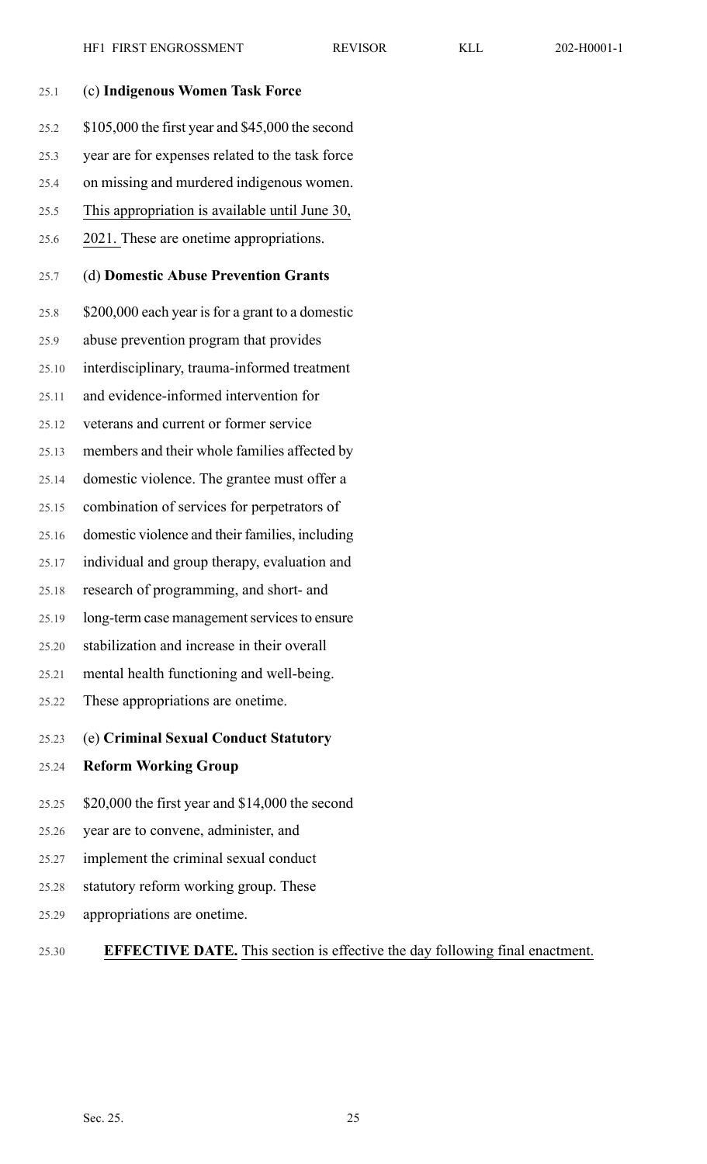| 25.1  | (c) Indigenous Women Task Force                  |
|-------|--------------------------------------------------|
| 25.2  | \$105,000 the first year and \$45,000 the second |
| 25.3  | year are for expenses related to the task force  |
| 25.4  | on missing and murdered indigenous women.        |
| 25.5  | This appropriation is available until June 30,   |
| 25.6  | 2021. These are onetime appropriations.          |
| 25.7  | (d) Domestic Abuse Prevention Grants             |
| 25.8  | \$200,000 each year is for a grant to a domestic |
| 25.9  | abuse prevention program that provides           |
| 25.10 | interdisciplinary, trauma-informed treatment     |
| 25.11 | and evidence-informed intervention for           |
| 25.12 | veterans and current or former service           |
| 25.13 | members and their whole families affected by     |
| 25.14 | domestic violence. The grantee must offer a      |
| 25.15 | combination of services for perpetrators of      |
| 25.16 | domestic violence and their families, including  |
| 25.17 | individual and group therapy, evaluation and     |
| 25.18 | research of programming, and short- and          |
| 25.19 | long-term case management services to ensure     |
| 25.20 | stabilization and increase in their overall      |
| 25.21 | mental health functioning and well-being.        |
| 25.22 | These appropriations are onetime.                |
| 25.23 | (e) Criminal Sexual Conduct Statutory            |
| 25.24 | <b>Reform Working Group</b>                      |
| 25.25 | \$20,000 the first year and \$14,000 the second  |
| 25.26 | year are to convene, administer, and             |
| 25.27 | implement the criminal sexual conduct            |
| 25.28 | statutory reform working group. These            |
| 25.29 | appropriations are onetime.                      |

## 25.30 **EFFECTIVE DATE.** This section is effective the day following final enactment.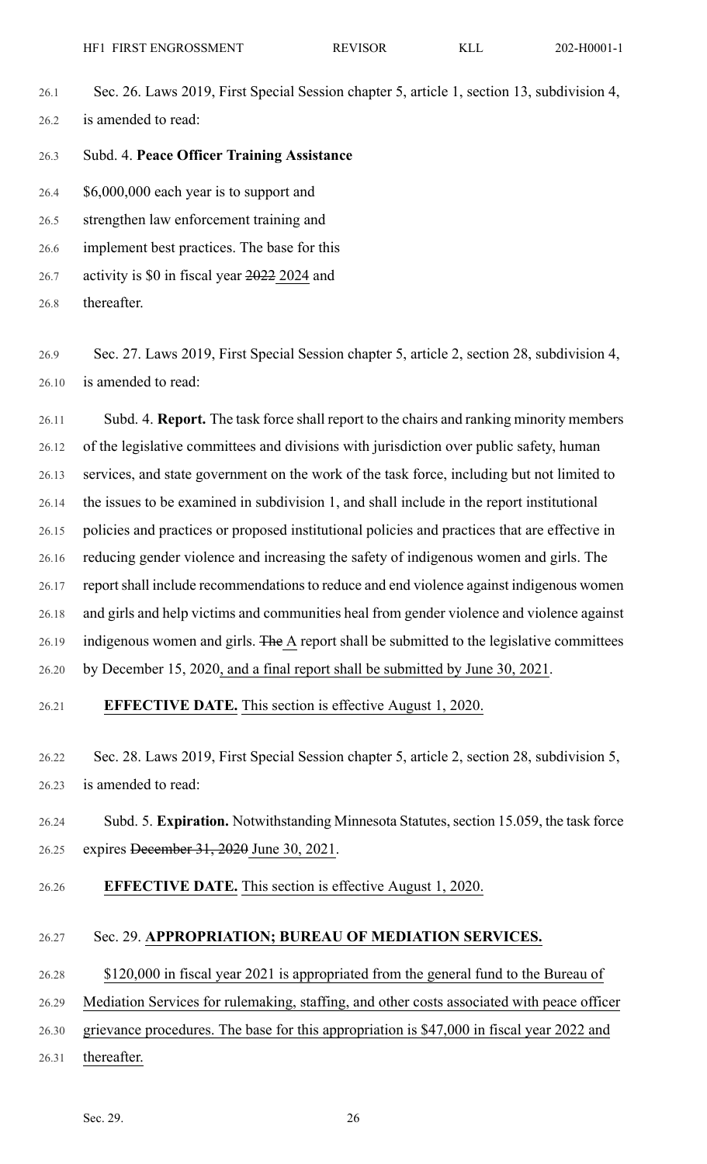- 26.1 Sec. 26. Laws 2019, First Special Session chapter 5, article 1, section 13, subdivision 4, 26.2 is amended to read:
- 26.3 Subd. 4. **Peace Officer Training Assistance**
- 26.4 \$6,000,000 each year is to support and
- 26.5 strengthen law enforcement training and

26.6 implement best practices. The base for this

26.7 activity is \$0 in fiscal year 2022 2024 and

26.8 thereafter.

26.9 Sec. 27. Laws 2019, First Special Session chapter 5, article 2, section 28, subdivision 4, 26.10 is amended to read:

26.11 Subd. 4. **Report.** The task force shall report to the chairs and ranking minority members 26.12 of the legislative committees and divisions with jurisdiction over public safety, human 26.13 services, and state government on the work of the task force, including but not limited to 26.14 the issues to be examined in subdivision 1, and shall include in the report institutional 26.15 policies and practices or proposed institutional policies and practices that are effective in 26.16 reducing gender violence and increasing the safety of indigenous women and girls. The 26.17 report shall include recommendations to reduce and end violence against indigenous women 26.18 and girls and help victims and communities heal from gender violence and violence against 26.19 indigenous women and girls. The A report shall be submitted to the legislative committees 26.20 by December 15, 2020, and a final report shall be submitted by June 30, 2021.

## 26.21 **EFFECTIVE DATE.** This section is effective August 1, 2020.

26.22 Sec. 28. Laws 2019, First Special Session chapter 5, article 2, section 28, subdivision 5, 26.23 is amended to read:

- 26.24 Subd. 5. **Expiration.** Notwithstanding Minnesota Statutes, section 15.059, the task force 26.25 expires December 31, 2020 June 30, 2021.
- 26.26 **EFFECTIVE DATE.** This section is effective August 1, 2020.

#### 26.27 Sec. 29. **APPROPRIATION; BUREAU OF MEDIATION SERVICES.**

26.28 \$120,000 in fiscal year 2021 is appropriated from the general fund to the Bureau of

26.29 Mediation Services for rulemaking, staffing, and other costs associated with peace officer

26.30 grievance procedures. The base for this appropriation is \$47,000 in fiscal year 2022 and

26.31 thereafter.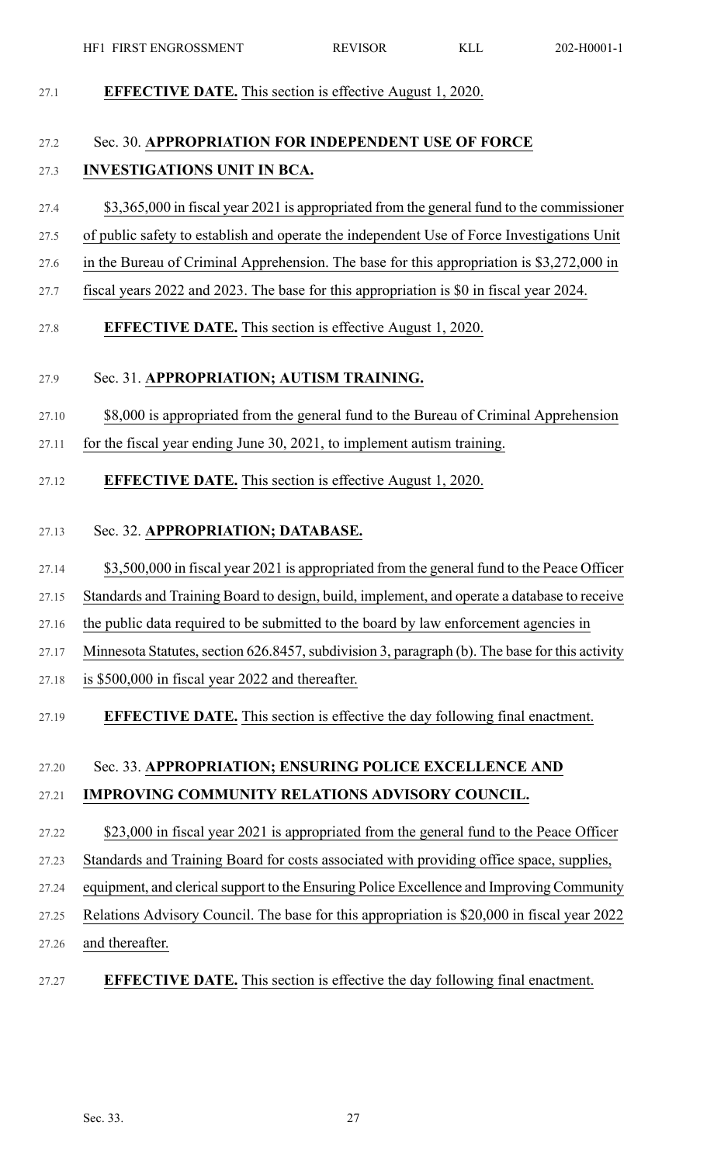| 27.1  | <b>EFFECTIVE DATE.</b> This section is effective August 1, 2020.                               |
|-------|------------------------------------------------------------------------------------------------|
| 27.2  | Sec. 30. APPROPRIATION FOR INDEPENDENT USE OF FORCE                                            |
| 27.3  | <b>INVESTIGATIONS UNIT IN BCA.</b>                                                             |
| 27.4  | \$3,365,000 in fiscal year 2021 is appropriated from the general fund to the commissioner      |
| 27.5  | of public safety to establish and operate the independent Use of Force Investigations Unit     |
| 27.6  | in the Bureau of Criminal Apprehension. The base for this appropriation is \$3,272,000 in      |
| 27.7  | fiscal years 2022 and 2023. The base for this appropriation is \$0 in fiscal year 2024.        |
| 27.8  | <b>EFFECTIVE DATE.</b> This section is effective August 1, 2020.                               |
| 27.9  | Sec. 31. APPROPRIATION; AUTISM TRAINING.                                                       |
| 27.10 | \$8,000 is appropriated from the general fund to the Bureau of Criminal Apprehension           |
| 27.11 | for the fiscal year ending June 30, 2021, to implement autism training.                        |
| 27.12 | <b>EFFECTIVE DATE.</b> This section is effective August 1, 2020.                               |
| 27.13 | Sec. 32. APPROPRIATION; DATABASE.                                                              |
| 27.14 | \$3,500,000 in fiscal year 2021 is appropriated from the general fund to the Peace Officer     |
| 27.15 | Standards and Training Board to design, build, implement, and operate a database to receive    |
| 27.16 | the public data required to be submitted to the board by law enforcement agencies in           |
| 27.17 | Minnesota Statutes, section 626.8457, subdivision 3, paragraph (b). The base for this activity |
| 27.18 | is \$500,000 in fiscal year 2022 and thereafter.                                               |
| 27.19 | <b>EFFECTIVE DATE.</b> This section is effective the day following final enactment.            |
| 27.20 | Sec. 33. APPROPRIATION; ENSURING POLICE EXCELLENCE AND                                         |
| 27.21 | IMPROVING COMMUNITY RELATIONS ADVISORY COUNCIL.                                                |
| 27.22 | \$23,000 in fiscal year 2021 is appropriated from the general fund to the Peace Officer        |
| 27.23 | Standards and Training Board for costs associated with providing office space, supplies,       |
| 27.24 | equipment, and clerical support to the Ensuring Police Excellence and Improving Community      |
| 27.25 | Relations Advisory Council. The base for this appropriation is \$20,000 in fiscal year 2022    |
| 27.26 | and thereafter.                                                                                |
| 27.27 | <b>EFFECTIVE DATE.</b> This section is effective the day following final enactment.            |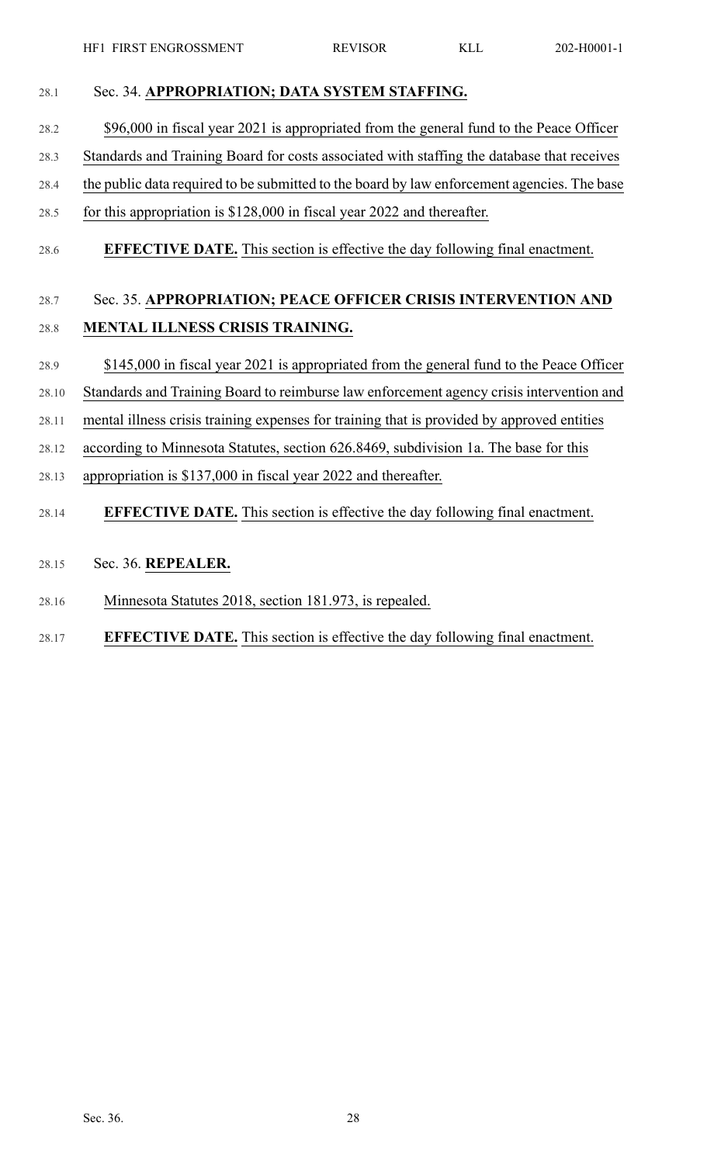| 28.1  | Sec. 34. APPROPRIATION; DATA SYSTEM STAFFING.                                               |
|-------|---------------------------------------------------------------------------------------------|
| 28.2  | \$96,000 in fiscal year 2021 is appropriated from the general fund to the Peace Officer     |
| 28.3  | Standards and Training Board for costs associated with staffing the database that receives  |
| 28.4  | the public data required to be submitted to the board by law enforcement agencies. The base |
| 28.5  | for this appropriation is $$128,000$ in fiscal year 2022 and thereafter.                    |
| 28.6  | <b>EFFECTIVE DATE.</b> This section is effective the day following final enactment.         |
| 28.7  | Sec. 35. APPROPRIATION; PEACE OFFICER CRISIS INTERVENTION AND                               |
| 28.8  | MENTAL ILLNESS CRISIS TRAINING.                                                             |
| 28.9  | \$145,000 in fiscal year 2021 is appropriated from the general fund to the Peace Officer    |
| 28.10 | Standards and Training Board to reimburse law enforcement agency crisis intervention and    |
| 28.11 | mental illness crisis training expenses for training that is provided by approved entities  |
| 28.12 | according to Minnesota Statutes, section 626.8469, subdivision 1a. The base for this        |
| 28.13 | appropriation is \$137,000 in fiscal year 2022 and thereafter.                              |
| 28.14 | <b>EFFECTIVE DATE.</b> This section is effective the day following final enactment.         |
| 28.15 | Sec. 36. REPEALER.                                                                          |
| 28.16 | Minnesota Statutes 2018, section 181.973, is repealed.                                      |
| 28.17 | <b>EFFECTIVE DATE.</b> This section is effective the day following final enactment.         |